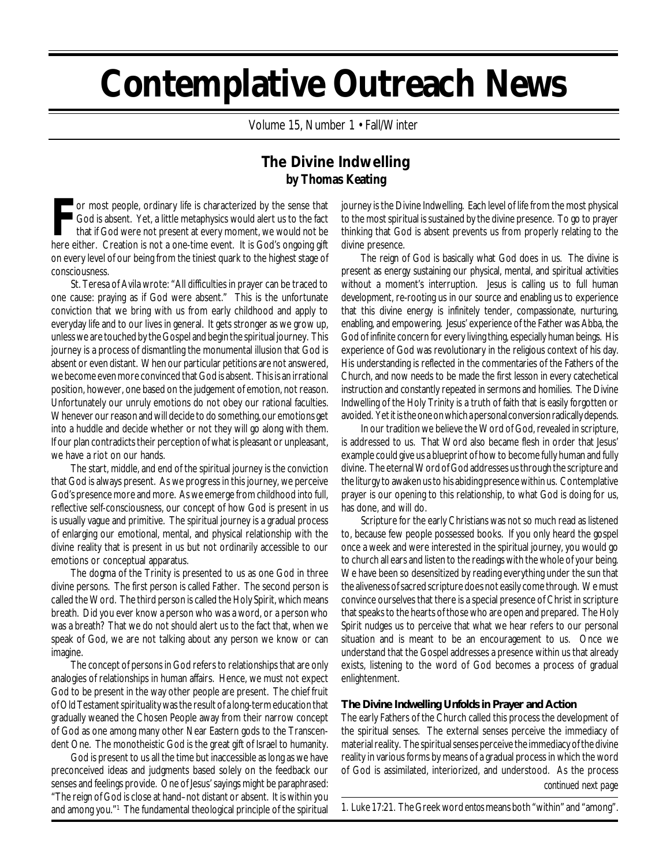## **Contemplative Outreach News**

Volume 15, Number 1 • Fall/Winter

### **The Divine Indwelling by Thomas Keating**

**F**or most people, ordinary life is characterized by the sense that God is absent. Yet, a little metaphysics would alert us to the fact that if God were not present at every moment, we would not be here either. Creation is not a one-time event. It is God's ongoing gift on every level of our being from the tiniest quark to the highest stage of consciousness.

St. Teresa of Avila wrote: "All difficulties in prayer can be traced to one cause: praying as if God were absent." This is the unfortunate conviction that we bring with us from early childhood and apply to everyday life and to our lives in general. It gets stronger as we grow up, unless we are touched by the Gospel and begin the spiritual journey. This journey is a process of dismantling the monumental illusion that God is absent or even distant. When our particular petitions are not answered, we become even more convinced that God is absent. This is an irrational position, however, one based on the judgement of emotion, not reason. Unfortunately our unruly emotions do not obey our rational faculties. Whenever our reason and will decide to do something, our emotions get into a huddle and decide whether or not they will go along with them. If our plan contradicts their perception of what is pleasant or unpleasant, we have a riot on our hands.

The start, middle, and end of the spiritual journey is the conviction that God is always present. As we progress in this journey, we perceive God's presence more and more. As we emerge from childhood into full, reflective self-consciousness, our concept of how God is present in us is usually vague and primitive. The spiritual journey is a gradual process of enlarging our emotional, mental, and physical relationship with the divine reality that is present in us but not ordinarily accessible to our emotions or conceptual apparatus.

The dogma of the Trinity is presented to us as one God in three divine persons. The first person is called Father. The second person is called the Word. The third person is called the Holy Spirit, which means breath. Did you ever know a person who was a word, or a person who was a breath? That we do not should alert us to the fact that, when we speak of God, we are not talking about any person we know or can imagine.

The concept of persons in God refers to relationships that are only analogies of relationships in human affairs. Hence, we must not expect God to be present in the way other people are present. The chief fruit of Old Testament spirituality was the result of a long-term education that gradually weaned the Chosen People away from their narrow concept of God as one among many other Near Eastern gods to the Transcendent One. The monotheistic God is the great gift of Israel to humanity.

God is present to us all the time but inaccessible as long as we have preconceived ideas and judgments based solely on the feedback our senses and feelings provide. One of Jesus' sayings might be paraphrased: "The reign of God is close at hand–not distant or absent. It is within you and among you."1 The fundamental theological principle of the spiritual journey is the Divine Indwelling. Each level of life from the most physical to the most spiritual is sustained by the divine presence. To go to prayer thinking that God is absent prevents us from properly relating to the divine presence.

The reign of God is basically what God does in us. The divine is present as energy sustaining our physical, mental, and spiritual activities without a moment's interruption. Jesus is calling us to full human development, re-rooting us in our source and enabling us to experience that this divine energy is infinitely tender, compassionate, nurturing, enabling, and empowering. Jesus' experience of the Father was Abba, the God of infinite concern for every living thing, especially human beings. His experience of God was revolutionary in the religious context of his day. His understanding is reflected in the commentaries of the Fathers of the Church, and now needs to be made the first lesson in every catechetical instruction and constantly repeated in sermons and homilies. The Divine Indwelling of the Holy Trinity is a truth of faith that is easily forgotten or avoided. Yet it is the one on which a personal conversion radically depends.

In our tradition we believe the Word of God, revealed in scripture, is addressed to us. That Word also became flesh in order that Jesus' example could give us a blueprint of how to become fully human and fully divine. The eternal Word of God addresses us through the scripture and the liturgy to awaken us to his abiding presence within us. Contemplative prayer is our opening to this relationship, to what God is doing for us, has done, and will do.

Scripture for the early Christians was not so much read as listened to, because few people possessed books. If you only heard the gospel once a week and were interested in the spiritual journey, you would go to church all ears and listen to the readings with the whole of your being. We have been so desensitized by reading everything under the sun that the aliveness of sacred scripture does not easily come through. We must convince ourselves that there is a special presence of Christ in scripture that speaks to the hearts of those who are open and prepared. The Holy Spirit nudges us to perceive that what we hear refers to our personal situation and is meant to be an encouragement to us. Once we understand that the Gospel addresses a presence within us that already exists, listening to the word of God becomes a process of gradual enlightenment.

### **The Divine Indwelling Unfolds in Prayer and Action**

*continued next page* The early Fathers of the Church called this process the development of the spiritual senses. The external senses perceive the immediacy of material reality. The spiritual senses perceive the immediacy of the divine reality in various forms by means of a gradual process in which the word of God is assimilated, interiorized, and understood. As the process

1. Luke 17:21. The Greek word *entos* means both "within" and "among".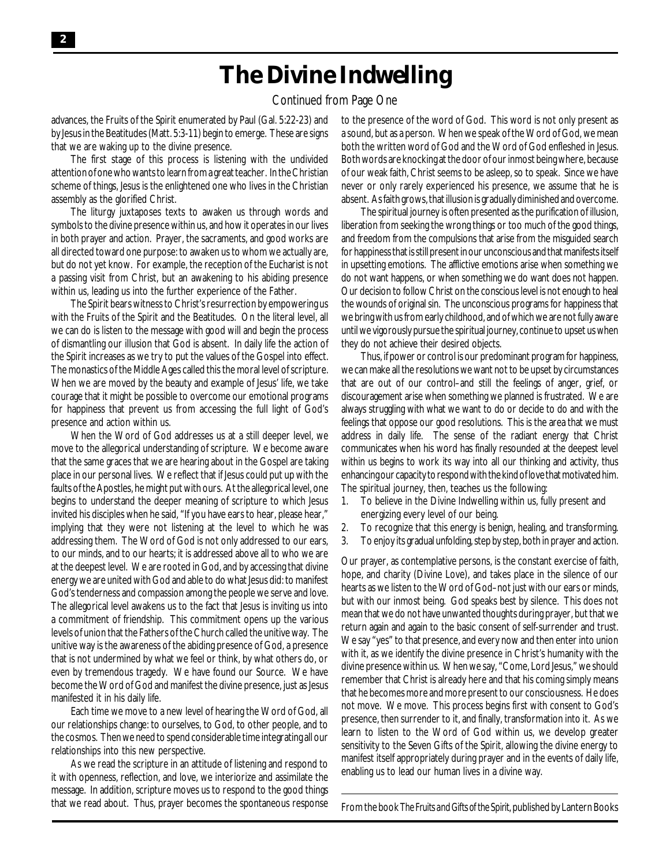### **The Divine Indwelling**

### Continued from Page One

advances, the Fruits of the Spirit enumerated by Paul (Gal. 5:22-23) and by Jesus in the Beatitudes (Matt. 5:3-11) begin to emerge. These are signs that we are waking up to the divine presence.

The first stage of this process is listening with the undivided attention of one who wants to learn from a great teacher. In the Christian scheme of things, Jesus is the enlightened one who lives in the Christian assembly as the glorified Christ.

The liturgy juxtaposes texts to awaken us through words and symbols to the divine presence within us, and how it operates in our lives in both prayer and action. Prayer, the sacraments, and good works are all directed toward one purpose: to awaken us to whom we actually are, but do not yet know. For example, the reception of the Eucharist is not a passing visit from Christ, but an awakening to his abiding presence within us, leading us into the further experience of the Father.

The Spirit bears witness to Christ's resurrection by empowering us with the Fruits of the Spirit and the Beatitudes. On the literal level, all we can do is listen to the message with good will and begin the process of dismantling our illusion that God is absent. In daily life the action of the Spirit increases as we try to put the values of the Gospel into effect. The monastics of the Middle Ages called this the moral level of scripture. When we are moved by the beauty and example of Jesus' life, we take courage that it might be possible to overcome our emotional programs for happiness that prevent us from accessing the full light of God's presence and action within us.

When the Word of God addresses us at a still deeper level, we move to the allegorical understanding of scripture. We become aware that the same graces that we are hearing about in the Gospel are taking place in our personal lives. We reflect that if Jesus could put up with the faults of the Apostles, he might put with ours. At the allegorical level, one begins to understand the deeper meaning of scripture to which Jesus invited his disciples when he said, "If you have ears to hear, please hear," implying that they were not listening at the level to which he was addressing them. The Word of God is not only addressed to our ears, to our minds, and to our hearts; it is addressed above all to who we are at the deepest level. We are rooted in God, and by accessing that divine energy we are united with God and able to do what Jesus did: to manifest God's tenderness and compassion among the people we serve and love. The allegorical level awakens us to the fact that Jesus is inviting us into a commitment of friendship. This commitment opens up the various levels of union that the Fathers of the Church called the unitive way. The unitive way is the awareness of the abiding presence of God, a presence that is not undermined by what we feel or think, by what others do, or even by tremendous tragedy. We have found our Source. We have become the Word of God and manifest the divine presence, just as Jesus manifested it in his daily life.

Each time we move to a new level of hearing the Word of God, all our relationships change: to ourselves, to God, to other people, and to the cosmos. Then we need to spend considerable time integrating all our relationships into this new perspective.

As we read the scripture in an attitude of listening and respond to it with openness, reflection, and love, we interiorize and assimilate the message. In addition, scripture moves us to respond to the good things that we read about. Thus, prayer becomes the spontaneous response

to the presence of the word of God. This word is not only present as a sound, but as a person. When we speak of the Word of God, we mean both the written word of God and the Word of God enfleshed in Jesus. Both words are knocking at the door of our inmost being where, because of our weak faith, Christ seems to be asleep, so to speak. Since we have never or only rarely experienced his presence, we assume that he is absent. As faith grows, that illusion is gradually diminished and overcome.

The spiritual journey is often presented as the purification of illusion, liberation from seeking the wrong things or too much of the good things, and freedom from the compulsions that arise from the misguided search for happiness that is still present in our unconscious and that manifests itself in upsetting emotions. The afflictive emotions arise when something we do not want happens, or when something we do want does not happen. Our decision to follow Christ on the conscious level is not enough to heal the wounds of original sin. The unconscious programs for happiness that we bring with us from early childhood, and of which we are not fully aware until we vigorously pursue the spiritual journey, continue to upset us when they do not achieve their desired objects.

Thus, if power or control is our predominant program for happiness, we can make all the resolutions we want not to be upset by circumstances that are out of our control–and still the feelings of anger, grief, or discouragement arise when something we planned is frustrated. We are always struggling with what we want to do or decide to do and with the feelings that oppose our good resolutions. This is the area that we must address in daily life. The sense of the radiant energy that Christ communicates when his word has finally resounded at the deepest level within us begins to work its way into all our thinking and activity, thus enhancing our capacity to respond with the kind of love that motivated him. The spiritual journey, then, teaches us the following:

- 1. To believe in the Divine Indwelling within us, fully present and energizing every level of our being.
- 2. To recognize that this energy is benign, healing, and transforming.
- 3. To enjoy its gradual unfolding, step by step, both in prayer and action.

Our prayer, as contemplative persons, is the constant exercise of faith, hope, and charity (Divine Love), and takes place in the silence of our hearts as we listen to the Word of God–not just with our ears or minds, but with our inmost being. God speaks best by silence. This does not mean that we do not have unwanted thoughts during prayer, but that we return again and again to the basic consent of self-surrender and trust. We say "yes" to that presence, and every now and then enter into union with it, as we identify the divine presence in Christ's humanity with the divine presence within us. When we say, "Come, Lord Jesus," we should remember that Christ is already here and that his coming simply means that he becomes more and more present to our consciousness. He does not move. We move. This process begins first with consent to God's presence, then surrender to it, and finally, transformation into it. As we learn to listen to the Word of God within us, we develop greater sensitivity to the Seven Gifts of the Spirit, allowing the divine energy to manifest itself appropriately during prayer and in the events of daily life, enabling us to lead our human lives in a divine way.

From the book *The Fruits and Gifts of the Spirit*, published by Lantern Books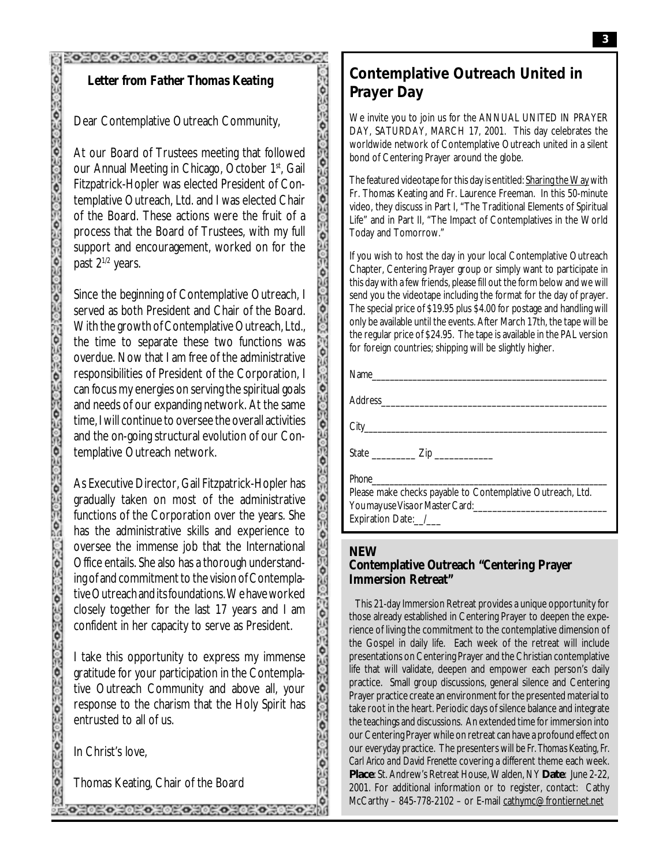## **ORORORORORORORORORORO**

### Dear Contemplative Outreach Community,

At our Board of Trustees meeting that followed our Annual Meeting in Chicago, October 1<sup>st</sup>, Gail Fitzpatrick-Hopler was elected President of Contemplative Outreach, Ltd. and I was elected Chair of the Board. These actions were the fruit of a process that the Board of Trustees, with my full support and encouragement, worked on for the past 2<sup>1/2</sup> years.

Since the beginning of Contemplative Outreach, I served as both President and Chair of the Board. With the growth of Contemplative Outreach, Ltd., the time to separate these two functions was overdue. Now that I am free of the administrative responsibilities of President of the Corporation, I can focus my energies on serving the spiritual goals and needs of our expanding network. At the same time, I will continue to oversee the overall activities and the on-going structural evolution of our Contemplative Outreach network.

As Executive Director, Gail Fitzpatrick-Hopler has gradually taken on most of the administrative functions of the Corporation over the years. She has the administrative skills and experience to oversee the immense job that the International Office entails. She also has a thorough understanding of and commitment to the vision of Contemplative Outreach and its foundations. We have worked closely together for the last 17 years and I am confident in her capacity to serve as President.

I take this opportunity to express my immense gratitude for your participation in the Contemplative Outreach Community and above all, your response to the charism that the Holy Spirit has entrusted to all of us.

**○HOHOHOHOHOHOHOHOHOHOHO** 

In Christ's love,

Thomas Keating, Chair of the Board

## **Prayer Day**

We invite you to join us for the ANNUAL UNITED IN PRAYER DAY, SATURDAY, MARCH 17, 2001. This day celebrates the worldwide network of Contemplative Outreach united in a silent bond of Centering Prayer around the globe.

The featured videotape for this day is entitled: Sharing the Way with Fr. Thomas Keating and Fr. Laurence Freeman. In this 50-minute video, they discuss in Part I, "The Traditional Elements of Spiritual Life" and in Part II, "The Impact of Contemplatives in the World Today and Tomorrow."

If you wish to host the day in your local Contemplative Outreach Chapter, Centering Prayer group or simply want to participate in this day with a few friends, please fill out the form below and we will send you the videotape including the format for the day of prayer. The special price of \$19.95 plus \$4.00 for postage and handling will only be available until the events. After March 17th, the tape will be the regular price of \$24.95. The tape is available in the PAL version for foreign countries; shipping will be slightly higher.

| Name                                                                                                                                          |
|-----------------------------------------------------------------------------------------------------------------------------------------------|
|                                                                                                                                               |
| City                                                                                                                                          |
| State $\frac{\pi}{2}$ Zip $\frac{\pi}{2}$                                                                                                     |
| Phone<br>Please make checks payable to Contemplative Outreach, Ltd.<br>You may use Visa or Master Card: New Your may use Visa or Master Card: |
| Expiration Date: /___                                                                                                                         |

### **NEW**

### **Contemplative Outreach "Centering Prayer Immersion Retreat"**

Letter from Father Thomas Keating<br>  $L$  Contemplative Outreach United in<br>
are Contemplative Outreach Community,<br>
are Contemplate Outreach Community,<br>
and Transce meeting that followsed and<br>  $\frac{1}{2}$  and the More of the Mor This 21-day Immersion Retreat provides a unique opportunity for those already established in Centering Prayer to deepen the experience of living the commitment to the contemplative dimension of the Gospel in daily life. Each week of the retreat will include presentations on Centering Prayer and the Christian contemplative life that will validate, deepen and empower each person's daily practice. Small group discussions, general silence and Centering Prayer practice create an environment for the presented material to take root in the heart. Periodic days of silence balance and integrate the teachings and discussions. An extended time for immersion into our Centering Prayer while on retreat can have a profound effect on our everyday practice. The presenters will be *Fr. Thomas Keating, Fr. Carl Arico and David Frenette* covering a different theme each week. **Place**: St. Andrew's Retreat House, Walden, NY **Date**: June 2-22, 2001. For additional information or to register, contact: Cathy McCarthy – 845-778-2102 – or E-mail cathymc@frontiernet.net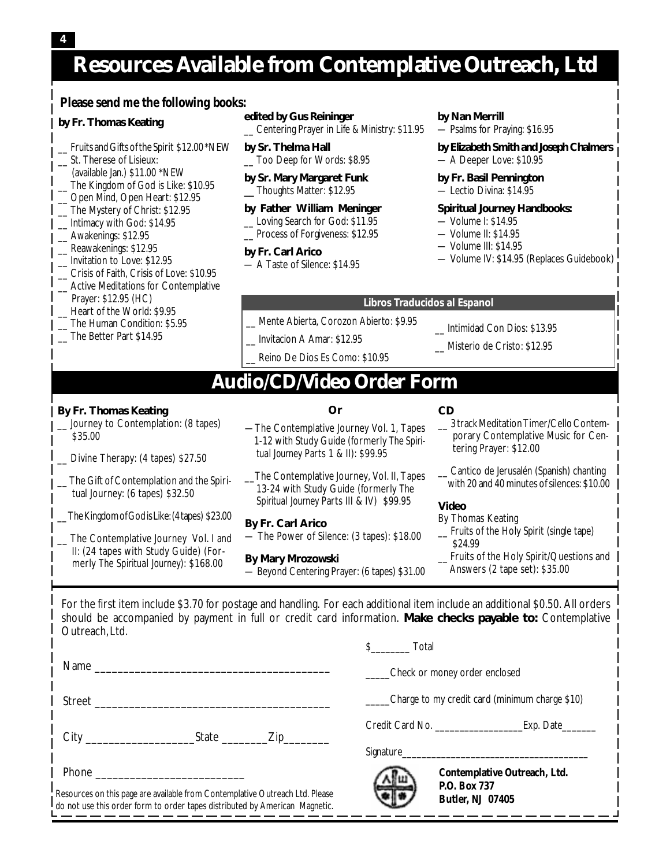### **Resources Available from Contemplative Outreach, Ltd**

### **Please send me the following books:**

### **by Fr. Thomas Keating**

- \_\_ Fruits and Gifts of the Spirit \$12.00 \*NEW
- \_\_ St. Therese of Lisieux:
- (available Jan.) \$11.00 \*NEW
- \_\_ The Kingdom of God is Like: \$10.95
- \_\_ Open Mind, Open Heart: \$12.95
- \_\_ The Mystery of Christ: \$12.95
- Intimacy with God: \$14.95
- Awakenings: \$12.95
- Reawakenings: \$12.95
- \_\_ Invitation to Love: \$12.95
- \_\_ Crisis of Faith, Crisis of Love: \$10.95
- Active Meditations for Contemplative
- Prayer: \$12.95 (HC)
- \_\_ Heart of the World: \$9.95
- \_\_ The Human Condition: \$5.95
- \_\_ The Better Part \$14.95
- 

**edited by Gus Reininger**

\_\_ Centering Prayer in Life & Ministry: \$11.95

**by Sr. Thelma Hall** \_\_ Too Deep for Words: \$8.95

**by Sr. Mary Margaret Funk \_\_** Thoughts Matter: \$12.95

**by Father William Meninger**

\_\_ Loving Search for God: \$11.95

\_\_ Process of Forgiveness: \$12.95

**by Fr. Carl Arico**

— A Taste of Silence: \$14.95

**by Nan Merrill**

— Psalms for Praying: \$16.95

**by Elizabeth Smith and Joseph Chalmers**

- A Deeper Love: \$10.95
- **by Fr. Basil Pennington** — Lectio Divina: \$14.95

### **Spiritual Journey Handbooks:**

- Volume I: \$14.95
- Volume II: \$14.95
- Volume III: \$14.95
- Volume IV: \$14.95 (Replaces Guidebook)

#### **Libros Traducidos al Espanol**

Mente Abierta, Corozon Abierto: \$9.95

\_\_ Invitacion A Amar: \$12.95

\_\_ Reino De Dios Es Como: \$10.95

- \_\_ Intimidad Con Dios: \$13.95
- \_\_ Misterio de Cristo: \$12.95

### **Audio/CD/Video Order Form**

#### **By Fr. Thomas Keating**

\$35.00

—The Contemplative Journey Vol. 1, Tapes 1-12 with Study Guide (formerly *The Spiri tual Journey* Parts 1 & II): \$99.95

\_\_The Contemplative Journey, Vol. II, Tapes 13-24 with Study Guide (formerly *The Spiritual Journey* Parts III & IV) \$99.95

**By Fr. Carl Arico**

— The Power of Silence: (3 tapes): \$18.00

**By Mary Mrozowski**

— Beyond Centering Prayer: (6 tapes) \$31.00

\_\_ 3 track Meditation Timer/Cello Contem porary Contemplative Music for Cen tering Prayer: \$12.00

Cantico de Jerusalén (Spanish) chanting with 20 and 40 minutes of silences: \$10.00

### **Video**

**CD**

By Thomas Keating

- \_\_ Fruits of the Holy Spirit (single tape) \$24.99 \_\_ Fruits of the Holy Spirit/Questions and
	- Answers (2 tape set): \$35.00

For the first item include \$3.70 for postage and handling. For each additional item include an additional \$0.50. All orders should be accompanied by payment in full or credit card information. **Make checks payable to:** Contemplative Outreach, Ltd.

\$\_\_\_\_\_\_\_\_ Total

|                                                                                                                                                             | _____Check or money order enclosed                  |
|-------------------------------------------------------------------------------------------------------------------------------------------------------------|-----------------------------------------------------|
|                                                                                                                                                             | _____Charge to my credit card (minimum charge \$10) |
|                                                                                                                                                             |                                                     |
|                                                                                                                                                             |                                                     |
|                                                                                                                                                             | Contemplative Outreach, Ltd.<br>P.O. Box 737        |
| Resources on this page are available from Contemplative Outreach Ltd. Please<br>do not use this order form to order tapes distributed by American Magnetic. | Butler, NJ 07405                                    |

- 
- 
- \_\_ Journey to Contemplation: (8 tapes) **Or**
	- Divine Therapy: (4 tapes) \$27.50
- \_\_ The Gift of Contemplation and the Spiri tual Journey: (6 tapes) \$32.50

\_\_ The Kingdom of God is Like: (4 tapes) \$23.00

The Contemplative Journey Vol. I and II: (24 tapes with Study Guide) (For merly *The Spiritual Journey*): \$168.00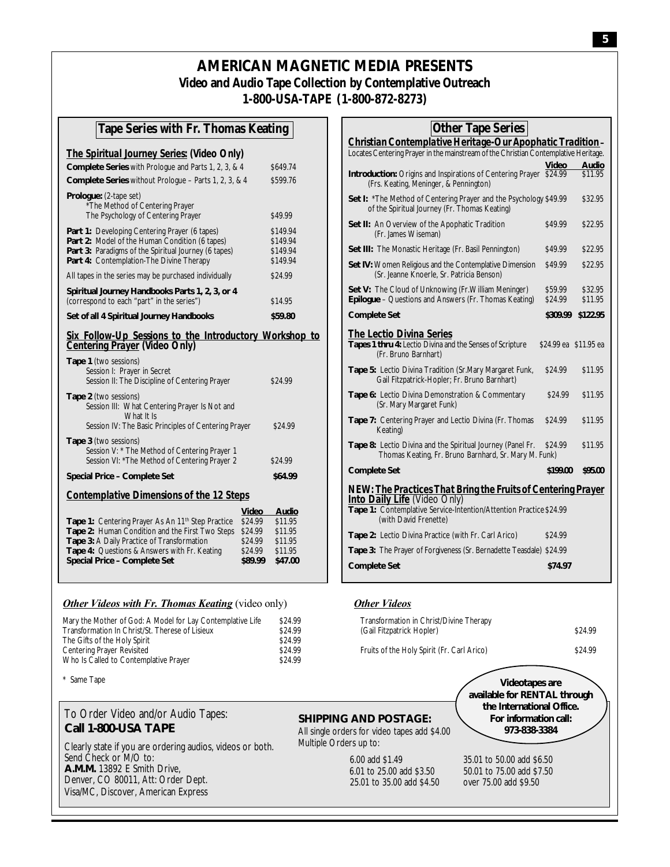### **AMERICAN MAGNETIC MEDIA PRESENTS Video and Audio Tape Collection by Contemplative Outreach 1-800-USA-TAPE (1-800-872-8273)**

### **Tape Series with Fr. Thomas Keating**

| The Spiritual Journey Series: (Video Only)                                                                                                                                                                                                     |                                                   |                                                          |  |
|------------------------------------------------------------------------------------------------------------------------------------------------------------------------------------------------------------------------------------------------|---------------------------------------------------|----------------------------------------------------------|--|
| Complete Series with Prologue and Parts 1, 2, 3, & 4                                                                                                                                                                                           |                                                   | \$649.74                                                 |  |
| Complete Series without Prologue - Parts 1, 2, 3, & 4                                                                                                                                                                                          |                                                   | \$599.76                                                 |  |
| <b>Prologue:</b> (2-tape set)<br>*The Method of Centering Prayer<br>The Psychology of Centering Prayer                                                                                                                                         |                                                   | \$49.99                                                  |  |
| <b>Part 1: Developing Centering Prayer (6 tapes)</b><br>Part 2: Model of the Human Condition (6 tapes)<br>Part 3: Paradigms of the Spiritual Journey (6 tapes)<br>Part 4: Contemplation-The Divine Therapy                                     |                                                   | \$149.94<br>\$149.94<br>\$149.94<br>\$149.94             |  |
| All tapes in the series may be purchased individually                                                                                                                                                                                          |                                                   | \$24.99                                                  |  |
| Spiritual Journey Handbooks Parts 1, 2, 3, or 4<br>(correspond to each "part" in the series")                                                                                                                                                  |                                                   | \$14.95                                                  |  |
| Set of all 4 Spiritual Journey Handbooks                                                                                                                                                                                                       |                                                   | \$59.80                                                  |  |
| Six Follow-Up Sessions to the Introductory Workshop to<br><b>Centering Prayer (Video Only)</b>                                                                                                                                                 |                                                   |                                                          |  |
| Tape 1 (two sessions)<br>Session I: Prayer in Secret<br>Session II: The Discipline of Centering Prayer                                                                                                                                         |                                                   | \$24.99                                                  |  |
| Tape 2 (two sessions)<br>Session III: What Centering Prayer Is Not and<br>What It Is<br>Session IV: The Basic Principles of Centering Prayer                                                                                                   |                                                   | \$24.99                                                  |  |
| Tape 3 (two sessions)                                                                                                                                                                                                                          |                                                   |                                                          |  |
| Session V: * The Method of Centering Prayer 1<br>Session VI: * The Method of Centering Prayer 2                                                                                                                                                |                                                   | \$24.99                                                  |  |
| Special Price - Complete Set                                                                                                                                                                                                                   |                                                   | \$64.99                                                  |  |
| <b>Contemplative Dimensions of the 12 Steps</b>                                                                                                                                                                                                |                                                   |                                                          |  |
| Tape 1: Centering Prayer As An 11 <sup>th</sup> Step Practice<br>Tape 2: Human Condition and the First Two Steps<br>Tape 3: A Daily Practice of Transformation<br>Tape 4: Questions & Answers with Fr. Keating<br>Special Price - Complete Set | Video<br>\$24.99<br>\$24.99<br>\$24.99<br>\$24.99 | <b>Audio</b><br>\$11.95<br>\$11.95<br>\$11.95<br>\$11.95 |  |

### *Other Videos with Fr. Thomas Keating* (video only) *Other Videos*

| Mary the Mother of God: A Model for Lay Contemplative Life | \$24.99 | Transformation in Christ/Divine Therapy    |         |
|------------------------------------------------------------|---------|--------------------------------------------|---------|
| Transformation In Christ/St. Therese of Lisieux            | \$24.99 | (Gail Fitzpatrick Hopler)                  | \$24.99 |
| The Gifts of the Holy Spirit                               | \$24.99 |                                            |         |
| Centering Prayer Revisited                                 | \$24.99 | Fruits of the Holy Spirit (Fr. Carl Arico) | \$24.99 |
| Who Is Called to Contemplative Prayer                      | \$24.99 |                                            |         |
|                                                            |         |                                            |         |

\* Same Tape

### To Order Video and/or Audio Tapes: **Call 1-800-USA TAPE**

Clearly state if you are ordering audios, videos or both. Send Check or M/O to: **A.M.M.** 13892 E Smith Drive, Denver, CO 80011, Att: Order Dept. Visa/MC, Discover, American Express

### **Other Tape Series**

| Christian Contemplative Heritage-Our Apophatic Tradition-<br>Locates Centering Prayer in the mainstream of the Christian Contemplative Heritage.                                                   |                       |                    |  |  |
|----------------------------------------------------------------------------------------------------------------------------------------------------------------------------------------------------|-----------------------|--------------------|--|--|
| Introduction: Origins and Inspirations of Centering Prayer \$24.99<br>(Frs. Keating, Meninger, & Pennington)                                                                                       | Video                 | Audio<br>\$11.95   |  |  |
| Set I: * The Method of Centering Prayer and the Psychology \$49.99<br>of the Spiritual Journey (Fr. Thomas Keating)                                                                                |                       | \$32.95            |  |  |
| Set II: An Overview of the Apophatic Tradition<br>(Fr. James Wiseman)                                                                                                                              | \$49.99               | \$22.95            |  |  |
| Set III: The Monastic Heritage (Fr. Basil Pennington)                                                                                                                                              | \$49.99               | \$22.95            |  |  |
| Set IV: Women Religious and the Contemplative Dimension<br>(Sr. Jeanne Knoerle, Sr. Patricia Benson)                                                                                               | \$49.99               | \$22.95            |  |  |
| Set V: The Cloud of Unknowing (Fr. William Meninger)<br>Epiloque - Questions and Answers (Fr. Thomas Keating)                                                                                      | \$59.99<br>\$24.99    | \$32.95<br>\$11.95 |  |  |
| <b>Complete Set</b>                                                                                                                                                                                | \$309.99              | \$122.95           |  |  |
| The Lectio Divina Series<br>Tapes 1 thru 4: Lectio Divina and the Senses of Scripture<br>(Fr. Bruno Barnhart)                                                                                      | \$24.99 ea \$11.95 ea |                    |  |  |
| Tape 5: Lectio Divina Tradition (Sr.Mary Margaret Funk,<br>Gail Fitzpatrick-Hopler; Fr. Bruno Barnhart)                                                                                            | \$24.99               | \$11.95            |  |  |
| Tape 6: Lectio Divina Demonstration & Commentary<br>(Sr. Mary Margaret Funk)                                                                                                                       | \$24.99               | \$11.95            |  |  |
| Tape 7: Centering Prayer and Lectio Divina (Fr. Thomas<br>Keating)                                                                                                                                 | \$24.99               | \$11.95            |  |  |
| Tape 8: Lectio Divina and the Spiritual Journey (Panel Fr.<br>Thomas Keating, Fr. Bruno Barnhard, Sr. Mary M. Funk)                                                                                | \$24.99               | \$11.95            |  |  |
| <b>Complete Set</b>                                                                                                                                                                                | \$199.00              | \$95.00            |  |  |
| NEW: The Practices That Bring the Fruits of Centering Prayer<br><b>Into Daily Life (Video Only)</b><br>Tape 1: Contemplative Service-Intention/Attention Practice \$24.99<br>(with David Frenette) |                       |                    |  |  |
| Tape 2: Lectio Divina Practice (with Fr. Carl Arico)                                                                                                                                               | \$24.99               |                    |  |  |
| Tape 3: The Prayer of Forgiveness (Sr. Bernadette Teasdale) \$24.99                                                                                                                                |                       |                    |  |  |
| <b>Complete Set</b>                                                                                                                                                                                | \$74.97               |                    |  |  |

| Transformation in Christ/Divine Therapy<br>(Gail Fitzpatrick Hopler) | \$24.99 |
|----------------------------------------------------------------------|---------|
|                                                                      |         |

**SHIPPING AND POSTAGE:**

All single orders for video tapes add \$4.00 Multiple Orders up to:

> 6.00 add \$1.49 35.01 to 50.00 add \$6.50 6.01 to 25.00 add \$3.50 50.01 to 75.00 add \$7.50 25.01 to 35.00 add \$4.50

**Videotapes are available for RENTAL through the International Office. For information call: 973-838-3384**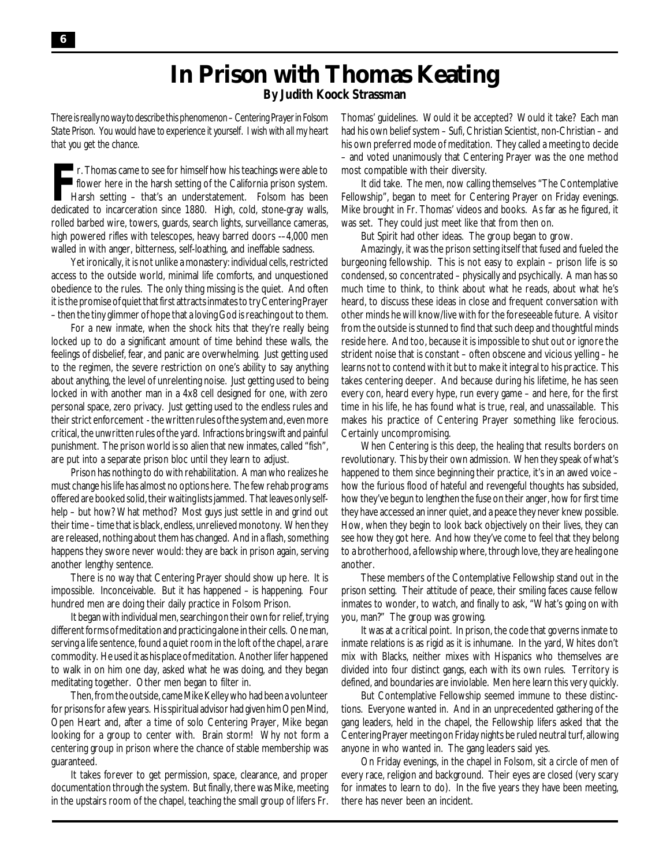### **In Prison with Thomas Keating**

**By Judith Koock Strassman**

*There is really no way to describe this phenomenon – Centering Prayer in Folsom State Prison. You would have to experience it yourself. I wish with all my heart that you get the chance.*

**F**r. Thomas came to see for himself how his teachings were able to<br>flower here in the harsh setting of the California prison system.<br>Harsh setting – that's an understatement. Folsom has been flower here in the harsh setting of the California prison system. Harsh setting – that's an understatement. Folsom has been dedicated to incarceration since 1880. High, cold, stone-gray walls, rolled barbed wire, towers, guards, search lights, surveillance cameras, high powered rifles with telescopes, heavy barred doors -–4,000 men walled in with anger, bitterness, self-loathing, and ineffable sadness.

Yet ironically, it is not unlike a monastery: individual cells, restricted access to the outside world, minimal life comforts, and unquestioned obedience to the rules. The only thing missing is the quiet. And often it is the promise of quiet that first attracts inmates to try Centering Prayer – then the tiny glimmer of hope that a loving God is reaching out to them.

For a new inmate, when the shock hits that they're really being locked up to do a significant amount of time behind these walls, the feelings of disbelief, fear, and panic are overwhelming. Just getting used to the regimen, the severe restriction on one's ability to say anything about anything, the level of unrelenting noise. Just getting used to being locked in with another man in a 4x8 cell designed for one, with zero personal space, zero privacy. Just getting used to the endless rules and their strict enforcement - the written rules of the system and, even more critical, the unwritten rules of the yard. Infractions bring swift and painful punishment. The prison world is so alien that new inmates, called "fish", are put into a separate prison bloc until they learn to adjust.

Prison has nothing to do with rehabilitation. A man who realizes he must change his life has almost no options here. The few rehab programs offered are booked solid, their waiting lists jammed. That leaves only selfhelp – but how? What method? Most guys just settle in and grind out their time – time that is black, endless, unrelieved monotony. When they are released, nothing about them has changed. And in a flash, something happens they swore never would: they are back in prison again, serving another lengthy sentence.

There is no way that Centering Prayer should show up here. It is impossible. Inconceivable. But it has happened – is happening. Four hundred men are doing their daily practice in Folsom Prison.

It began with individual men, searching on their own for relief, trying different forms of meditation and practicing alone in their cells. One man, serving a life sentence, found a quiet room in the loft of the chapel, a rare commodity. He used it as his place of meditation. Another lifer happened to walk in on him one day, asked what he was doing, and they began meditating together. Other men began to filter in.

Then, from the outside, came Mike Kelley who had been a volunteer for prisons for a few years. His spiritual advisor had given him Open Mind, Open Heart and, after a time of solo Centering Prayer, Mike began looking for a group to center with. Brain storm! Why not form a centering group in prison where the chance of stable membership was guaranteed.

It takes forever to get permission, space, clearance, and proper documentation through the system. But finally, there was Mike, meeting in the upstairs room of the chapel, teaching the small group of lifers Fr. Thomas' guidelines. Would it be accepted? Would it take? Each man had his own belief system – Sufi, Christian Scientist, non-Christian – and his own preferred mode of meditation. They called a meeting to decide – and voted unanimously that Centering Prayer was the one method most compatible with their diversity.

It did take. The men, now calling themselves "The Contemplative Fellowship", began to meet for Centering Prayer on Friday evenings. Mike brought in Fr. Thomas' videos and books. As far as he figured, it was set. They could just meet like that from then on.

But Spirit had other ideas. The group began to grow.

Amazingly, it was the prison setting itself that fused and fueled the burgeoning fellowship. This is not easy to explain – prison life is so condensed, so concentrated – physically and psychically. A man has so much time to think, to think about what he reads, about what he's heard, to discuss these ideas in close and frequent conversation with other minds he will know/live with for the foreseeable future. A visitor from the outside is stunned to find that such deep and thoughtful minds reside here. And too, because it is impossible to shut out or ignore the strident noise that is constant – often obscene and vicious yelling – he learns not to contend with it but to make it integral to his practice. This takes centering deeper. And because during his lifetime, he has seen every con, heard every hype, run every game – and here, for the first time in his life, he has found what is true, real, and unassailable. This makes his practice of Centering Prayer something like ferocious. Certainly uncompromising.

When Centering is this deep, the healing that results borders on revolutionary. This by their own admission. When they speak of what's happened to them since beginning their practice, it's in an awed voice – how the furious flood of hateful and revengeful thoughts has subsided, how they've begun to lengthen the fuse on their anger, how for first time they have accessed an inner quiet, and a peace they never knew possible. How, when they begin to look back objectively on their lives, they can see how they got here. And how they've come to feel that they belong to a brotherhood, a fellowship where, through love, they are healing one another.

These members of the Contemplative Fellowship stand out in the prison setting. Their attitude of peace, their smiling faces cause fellow inmates to wonder, to watch, and finally to ask, "What's going on with you, man?" The group was growing.

It was at a critical point. In prison, the code that governs inmate to inmate relations is as rigid as it is inhumane. In the yard, Whites don't mix with Blacks, neither mixes with Hispanics who themselves are divided into four distinct gangs, each with its own rules. Territory is defined, and boundaries are inviolable. Men here learn this very quickly.

But Contemplative Fellowship seemed immune to these distinctions. Everyone wanted in. And in an unprecedented gathering of the gang leaders, held in the chapel, the Fellowship lifers asked that the Centering Prayer meeting on Friday nights be ruled neutral turf, allowing anyone in who wanted in. The gang leaders said yes.

On Friday evenings, in the chapel in Folsom, sit a circle of men of every race, religion and background. Their eyes are closed (very scary for inmates to learn to do). In the five years they have been meeting, there has never been an incident.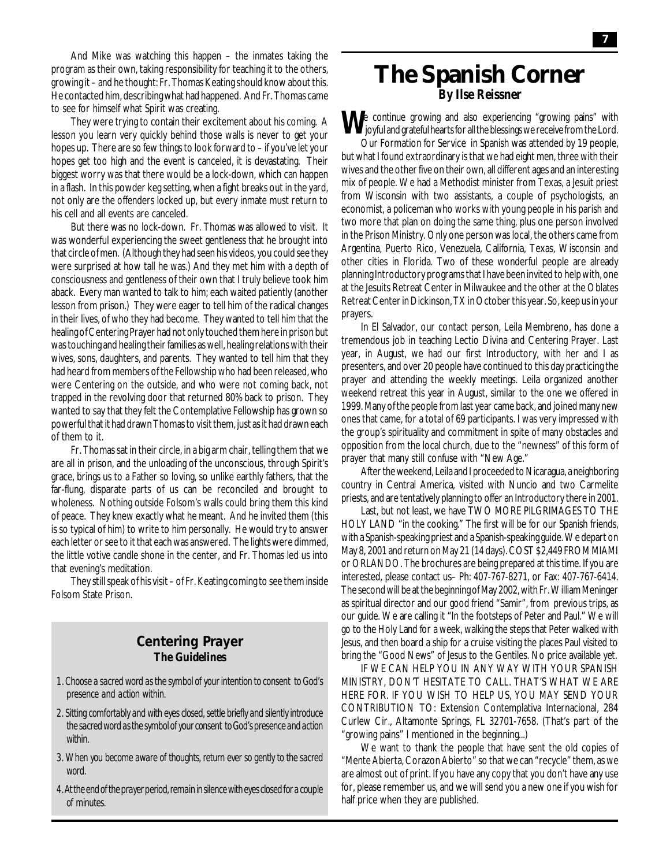And Mike was watching this happen – the inmates taking the program as their own, taking responsibility for teaching it to the others, growing it – and he thought: Fr. Thomas Keating should know about this. He contacted him, describing what had happened. And Fr. Thomas came to see for himself what Spirit was creating.

They were trying to contain their excitement about his coming. A lesson you learn very quickly behind those walls is never to get your hopes up. There are so few things to look forward to – if you've let your hopes get too high and the event is canceled, it is devastating. Their biggest worry was that there would be a lock-down, which can happen in a flash. In this powder keg setting, when a fight breaks out in the yard, not only are the offenders locked up, but every inmate must return to his cell and all events are canceled.

But there was no lock-down. Fr. Thomas was allowed to visit. It was wonderful experiencing the sweet gentleness that he brought into that circle of men. (Although they had seen his videos, you could see they were surprised at how tall he was.) And they met him with a depth of consciousness and gentleness of their own that I truly believe took him aback. Every man wanted to talk to him; each waited patiently (another lesson from prison.) They were eager to tell him of the radical changes in their lives, of who they had become. They wanted to tell him that the healing of Centering Prayer had not only touched them here in prison but was touching and healing their families as well, healing relations with their wives, sons, daughters, and parents. They wanted to tell him that they had heard from members of the Fellowship who had been released, who were Centering on the outside, and who were not coming back, not trapped in the revolving door that returned 80% back to prison. They wanted to say that they felt the Contemplative Fellowship has grown so powerful that it had drawn Thomas to visit them, just as it had drawn each of them to it.

Fr. Thomas sat in their circle, in a big arm chair, telling them that we are all in prison, and the unloading of the unconscious, through Spirit's grace, brings us to a Father so loving, so unlike earthly fathers, that the far-flung, disparate parts of us can be reconciled and brought to wholeness. Nothing outside Folsom's walls could bring them this kind of peace. They knew exactly what he meant. And he invited them (this is so typical of him) to write to him personally. He would try to answer each letter or see to it that each was answered. The lights were dimmed, the little votive candle shone in the center, and Fr. Thomas led us into that evening's meditation.

They still speak of his visit – of Fr. Keating coming to see them inside Folsom State Prison.

### **Centering Prayer The Guidelines**

- *1. Choose a sacred word as the symbol of your intention to consent to God's presence and action within.*
- *2. Sitting comfortably and with eyes closed, settle briefly and silently introduce the sacred word as the symbol of your consent to God's presence and action within.*
- *3. When you become aware of thoughts, return ever so gently to the sacred word.*
- *4. At the end of the prayer period, remain in silence with eyes closed for a couple of minutes.*

### **The Spanish Corner By Ilse Reissner**

 $\mathbf{W}$  continue growing and also experiencing "growing pains" with joyful and grateful hearts for all the blessings we receive from the Lord. Our Formation for Service in Spanish was attended by 19 people, but what I found extraordinary is that we had eight men, three with their wives and the other five on their own, all different ages and an interesting mix of people. We had a Methodist minister from Texas, a Jesuit priest from Wisconsin with two assistants, a couple of psychologists, an economist, a policeman who works with young people in his parish and two more that plan on doing the same thing, plus one person involved in the Prison Ministry. Only one person was local, the others came from Argentina, Puerto Rico, Venezuela, California, Texas, Wisconsin and other cities in Florida. Two of these wonderful people are already planning Introductory programs that I have been invited to help with, one at the Jesuits Retreat Center in Milwaukee and the other at the Oblates Retreat Center in Dickinson, TX in October this year. So, keep us in your prayers.

In El Salvador, our contact person, Leila Membreno, has done a tremendous job in teaching Lectio Divina and Centering Prayer. Last year, in August, we had our first Introductory, with her and I as presenters, and over 20 people have continued to this day practicing the prayer and attending the weekly meetings. Leila organized another weekend retreat this year in August, similar to the one we offered in 1999. Many of the people from last year came back, and joined many new ones that came, for a total of 69 participants. I was very impressed with the group's spirituality and commitment in spite of many obstacles and opposition from the local church, due to the "newness" of this form of prayer that many still confuse with "New Age."

After the weekend, Leila and I proceeded to Nicaragua, a neighboring country in Central America, visited with Nuncio and two Carmelite priests, and are tentatively planning to offer an Introductory there in 2001.

Last, but not least, we have TWO MORE PILGRIMAGES TO THE HOLY LAND "in the cooking." The first will be for our Spanish friends, with a Spanish-speaking priest and a Spanish-speaking guide. We depart on May 8, 2001 and return on May 21 (14 days). COST \$2,449 FROM MIAMI or ORLANDO. The brochures are being prepared at this time. If you are interested, please contact us– Ph: 407-767-8271, or Fax: 407-767-6414. The second will be at the beginning of May 2002, with Fr. William Meninger as spiritual director and our good friend "Samir", from previous trips, as our guide. We are calling it "In the footsteps of Peter and Paul." We will go to the Holy Land for a week, walking the steps that Peter walked with Jesus, and then board a ship for a cruise visiting the places Paul visited to bring the "Good News" of Jesus to the Gentiles. No price available yet.

IF WE CAN HELP YOU IN ANY WAY WITH YOUR SPANISH MINISTRY, DON'T HESITATE TO CALL. THAT'S WHAT WE ARE HERE FOR. IF YOU WISH TO HELP US, YOU MAY SEND YOUR CONTRIBUTION TO: Extension Contemplativa Internacional, 284 Curlew Cir., Altamonte Springs, FL 32701-7658. (That's part of the "growing pains" I mentioned in the beginning...)

We want to thank the people that have sent the old copies of "Mente Abierta, Corazon Abierto" so that we can "recycle" them, as we are almost out of print. If you have any copy that you don't have any use for, please remember us, and we will send you a new one if you wish for half price when they are published.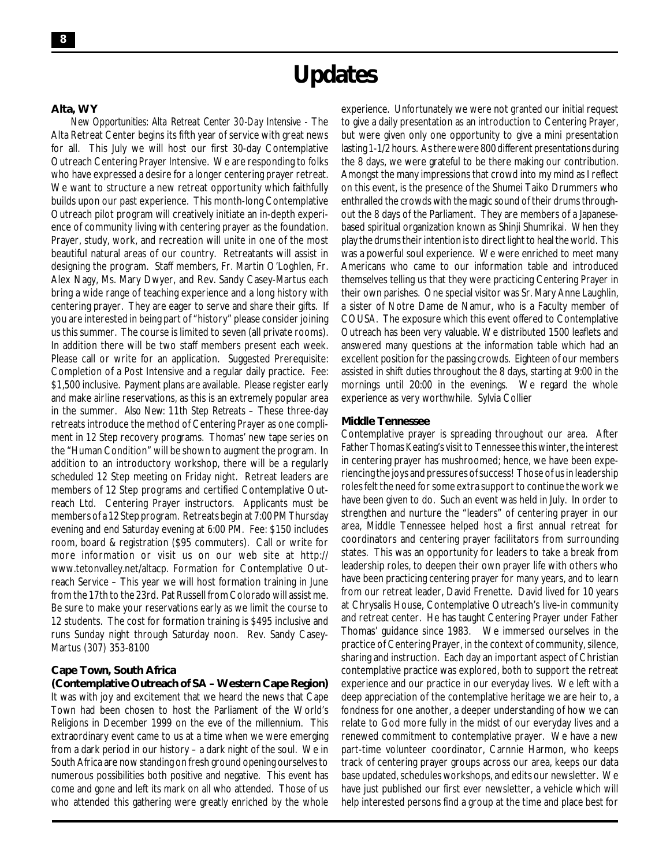### **Alta, WY**

*New Opportunities: Alta Retreat Center 30-Day Intensive* - The Alta Retreat Center begins its fifth year of service with great news for all. This July we will host our first 30-day Contemplative Outreach Centering Prayer Intensive. We are responding to folks who have expressed a desire for a longer centering prayer retreat. We want to structure a new retreat opportunity which faithfully builds upon our past experience. This month-long Contemplative Outreach pilot program will creatively initiate an in-depth experience of community living with centering prayer as the foundation. Prayer, study, work, and recreation will unite in one of the most beautiful natural areas of our country. Retreatants will assist in designing the program. Staff members, Fr. Martin O'Loghlen, Fr. Alex Nagy, Ms. Mary Dwyer, and Rev. Sandy Casey-Martus each bring a wide range of teaching experience and a long history with centering prayer. They are eager to serve and share their gifts. If you are interested in being part of "history" please consider joining us this summer. The course is limited to seven (all private rooms). In addition there will be two staff members present each week. Please call or write for an application. Suggested Prerequisite: Completion of a Post Intensive and a regular daily practice. Fee: \$1,500 inclusive. Payment plans are available. Please register early and make airline reservations, as this is an extremely popular area in the summer. *Also New: 11th Step Retreats* – These three-day retreats introduce the method of Centering Prayer as one compliment in 12 Step recovery programs. Thomas' new tape series on the "Human Condition" will be shown to augment the program. In addition to an introductory workshop, there will be a regularly scheduled 12 Step meeting on Friday night. Retreat leaders are members of 12 Step programs and certified Contemplative Outreach Ltd. Centering Prayer instructors. Applicants must be members of a 12 Step program. Retreats begin at 7:00 PM Thursday evening and end Saturday evening at 6:00 PM. Fee: \$150 includes room, board & registration (\$95 commuters). Call or write for more information or visit us on our web site at http:// www.tetonvalley.net/altacp. Formation for Contemplative Outreach Service – This year we will host formation training in June from the 17th to the 23rd. Pat Russell from Colorado will assist me. Be sure to make your reservations early as we limit the course to 12 students. The cost for formation training is \$495 inclusive and runs Sunday night through Saturday noon. Rev. Sandy Casey-Martus (307) 353-8100

### **Cape Town, South Africa**

**(Contemplative Outreach of SA – Western Cape Region)** It was with joy and excitement that we heard the news that Cape Town had been chosen to host the Parliament of the World's Religions in December 1999 on the eve of the millennium. This extraordinary event came to us at a time when we were emerging from a dark period in our history – a dark night of the soul. We in South Africa are now standing on fresh ground opening ourselves to numerous possibilities both positive and negative. This event has come and gone and left its mark on all who attended. Those of us who attended this gathering were greatly enriched by the whole

experience. Unfortunately we were not granted our initial request to give a daily presentation as an introduction to Centering Prayer, but were given only one opportunity to give a mini presentation lasting 1-1/2 hours. As there were 800 different presentations during the 8 days, we were grateful to be there making our contribution. Amongst the many impressions that crowd into my mind as I reflect on this event, is the presence of the Shumei Taiko Drummers who enthralled the crowds with the magic sound of their drums throughout the 8 days of the Parliament. They are members of a Japanesebased spiritual organization known as Shinji Shumrikai. When they play the drums their intention is to direct light to heal the world. This was a powerful soul experience. We were enriched to meet many Americans who came to our information table and introduced themselves telling us that they were practicing Centering Prayer in their own parishes. One special visitor was Sr. Mary Anne Laughlin, a sister of Notre Dame de Namur, who is a Faculty member of COUSA. The exposure which this event offered to Contemplative Outreach has been very valuable. We distributed 1500 leaflets and answered many questions at the information table which had an excellent position for the passing crowds. Eighteen of our members assisted in shift duties throughout the 8 days, starting at 9:00 in the mornings until 20:00 in the evenings. We regard the whole experience as very worthwhile. Sylvia Collier

### **Middle Tennessee**

Contemplative prayer is spreading throughout our area. After Father Thomas Keating's visit to Tennessee this winter, the interest in centering prayer has mushroomed; hence, we have been experiencing the joys and pressures of success! Those of us in leadership roles felt the need for some extra support to continue the work we have been given to do. Such an event was held in July. In order to strengthen and nurture the "leaders" of centering prayer in our area, Middle Tennessee helped host a first annual retreat for coordinators and centering prayer facilitators from surrounding states. This was an opportunity for leaders to take a break from leadership roles, to deepen their own prayer life with others who have been practicing centering prayer for many years, and to learn from our retreat leader, David Frenette. David lived for 10 years at Chrysalis House, Contemplative Outreach's live-in community and retreat center. He has taught Centering Prayer under Father Thomas' guidance since 1983. We immersed ourselves in the practice of Centering Prayer, in the context of community, silence, sharing and instruction. Each day an important aspect of Christian contemplative practice was explored, both to support the retreat experience and our practice in our everyday lives. We left with a deep appreciation of the contemplative heritage we are heir to, a fondness for one another, a deeper understanding of how we can relate to God more fully in the midst of our everyday lives and a renewed commitment to contemplative prayer. We have a new part-time volunteer coordinator, Carnnie Harmon, who keeps track of centering prayer groups across our area, keeps our data base updated, schedules workshops, and edits our newsletter. We have just published our first ever newsletter, a vehicle which will help interested persons find a group at the time and place best for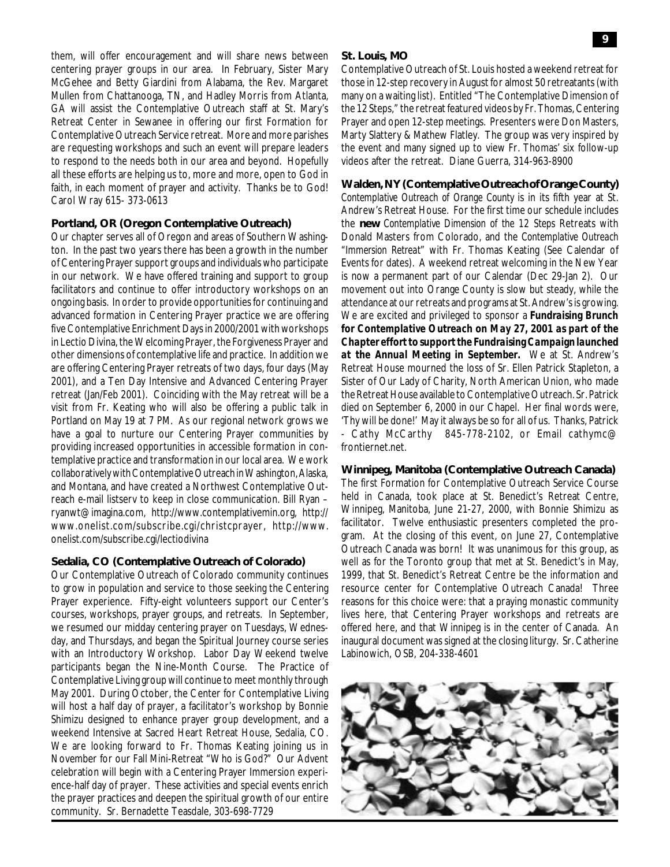them, will offer encouragement and will share news between centering prayer groups in our area. In February, Sister Mary McGehee and Betty Giardini from Alabama, the Rev. Margaret Mullen from Chattanooga, TN, and Hadley Morris from Atlanta, GA will assist the Contemplative Outreach staff at St. Mary's Retreat Center in Sewanee in offering our first Formation for Contemplative Outreach Service retreat. More and more parishes are requesting workshops and such an event will prepare leaders to respond to the needs both in our area and beyond. Hopefully all these efforts are helping us to, more and more, open to God in faith, in each moment of prayer and activity. Thanks be to God! Carol Wray 615- 373-0613

### **Portland, OR (Oregon Contemplative Outreach)**

Our chapter serves all of Oregon and areas of Southern Washington. In the past two years there has been a growth in the number of Centering Prayer support groups and individuals who participate in our network. We have offered training and support to group facilitators and continue to offer introductory workshops on an ongoing basis. In order to provide opportunities for continuing and advanced formation in Centering Prayer practice we are offering five Contemplative Enrichment Days in 2000/2001 with workshops in Lectio Divina, the Welcoming Prayer, the Forgiveness Prayer and other dimensions of contemplative life and practice. In addition we are offering Centering Prayer retreats of two days, four days (May 2001), and a Ten Day Intensive and Advanced Centering Prayer retreat (Jan/Feb 2001). Coinciding with the May retreat will be a visit from Fr. Keating who will also be offering a public talk in Portland on May 19 at 7 PM. As our regional network grows we have a goal to nurture our Centering Prayer communities by providing increased opportunities in accessible formation in contemplative practice and transformation in our local area. We work collaboratively with Contemplative Outreach in Washington, Alaska, and Montana, and have created a Northwest Contemplative Outreach e-mail listserv to keep in close communication. Bill Ryan – ryanwt@imagina.com, http://www.contemplativemin.org, http:// www.onelist.com/subscribe.cgi/christcprayer, http://www. onelist.com/subscribe.cgi/lectiodivina

### **Sedalia, CO (Contemplative Outreach of Colorado)**

Our Contemplative Outreach of Colorado community continues to grow in population and service to those seeking the Centering Prayer experience. Fifty-eight volunteers support our Center's courses, workshops, prayer groups, and retreats. In September, we resumed our midday centering prayer on Tuesdays, Wednesday, and Thursdays, and began the Spiritual Journey course series with an Introductory Workshop. Labor Day Weekend twelve participants began the Nine-Month Course. The Practice of Contemplative Living group will continue to meet monthly through May 2001. During October, the Center for Contemplative Living will host a half day of prayer, a facilitator's workshop by Bonnie Shimizu designed to enhance prayer group development, and a weekend Intensive at Sacred Heart Retreat House, Sedalia, CO. We are looking forward to Fr. Thomas Keating joining us in November for our Fall Mini-Retreat "Who is God?" Our Advent celebration will begin with a Centering Prayer Immersion experience-half day of prayer. These activities and special events enrich the prayer practices and deepen the spiritual growth of our entire community. Sr. Bernadette Teasdale, 303-698-7729

### **St. Louis, MO**

Contemplative Outreach of St. Louis hosted a weekend retreat for those in 12-step recovery in August for almost 50 retreatants (with many on a waiting list). Entitled "The Contemplative Dimension of the 12 Steps," the retreat featured videos by Fr. Thomas, Centering Prayer and open 12-step meetings. Presenters were Don Masters, Marty Slattery & Mathew Flatley. The group was very inspired by the event and many signed up to view Fr. Thomas' six follow-up videos after the retreat. Diane Guerra, 314-963-8900

### **Walden, NY (Contemplative Outreach of Orange County)**

*Contemplative Outreach of Orange County* is in its fifth year at St. Andrew's Retreat House. For the first time our schedule includes the **new** *Contemplative Dimension of the 12 Steps* Retreats with Donald Masters from Colorado, and the *Contemplative Outreach "Immersion Retreat"* with Fr. Thomas Keating (See Calendar of Events for dates). A weekend retreat welcoming in the New Year is now a permanent part of our Calendar (Dec 29-Jan 2). Our movement out into Orange County is slow but steady, while the attendance at our retreats and programs at St. Andrew's is growing. We are excited and privileged to sponsor a *Fundraising Brunch for Contemplative Outreach on May 27, 2001 as part of the Chapter effort to support the Fundraising Campaign launched at the Annual Meeting in September.* We at St. Andrew's Retreat House mourned the loss of Sr. Ellen Patrick Stapleton, a Sister of Our Lady of Charity, North American Union, who made the Retreat House available to Contemplative Outreach. Sr. Patrick died on September 6, 2000 in our Chapel. Her final words were, 'Thy will be done!' May it always be so for all of us. Thanks, Patrick - Cathy McCarthy 845-778-2102, or Email cathymc@ frontiernet.net.

### **Winnipeg, Manitoba (Contemplative Outreach Canada)**

The first Formation for Contemplative Outreach Service Course held in Canada, took place at St. Benedict's Retreat Centre, Winnipeg, Manitoba, June 21-27, 2000, with Bonnie Shimizu as facilitator. Twelve enthusiastic presenters completed the program. At the closing of this event, on June 27, Contemplative Outreach Canada was born! It was unanimous for this group, as well as for the Toronto group that met at St. Benedict's in May, 1999, that St. Benedict's Retreat Centre be the information and resource center for Contemplative Outreach Canada! Three reasons for this choice were: that a praying monastic community lives here, that Centering Prayer workshops and retreats are offered here, and that Winnipeg is in the center of Canada. An inaugural document was signed at the closing liturgy. Sr. Catherine Labinowich, OSB, 204-338-4601

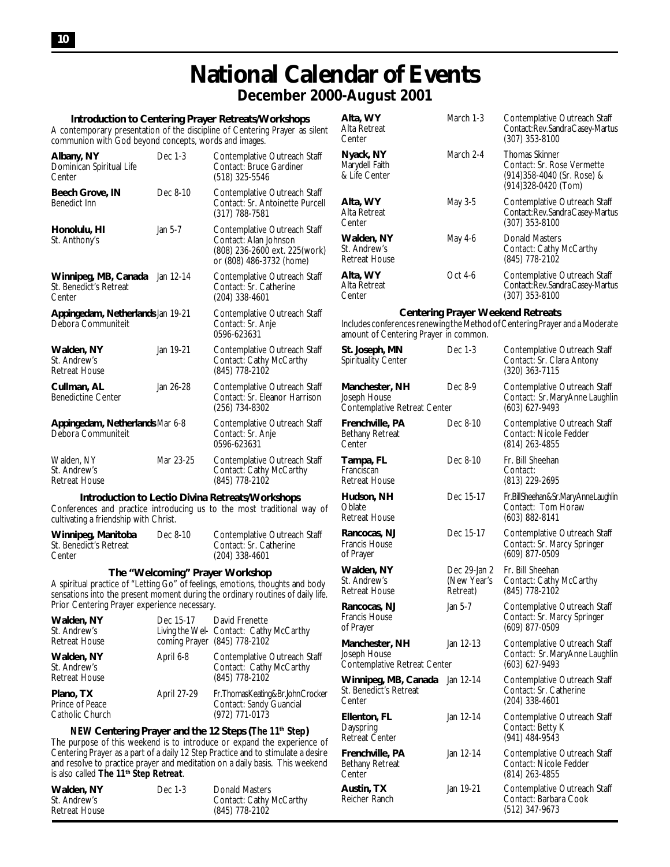## **National Calendar of Events**

**December 2000-August 2001**

| <b>Introduction to Centering Prayer Retreats/Workshops</b><br>A contemporary presentation of the discipline of Centering Prayer as silent<br>communion with God beyond concepts, words and images.                                                                                               |             |                                                                                                                    | Alta, WY<br>Alta Retreat<br>Center                                 | March 1-3                                                                  | Contemplative Outreach Staff<br>Contact: Rev. Sandra Casey-Martus<br>$(307)$ 353-8100                                   |
|--------------------------------------------------------------------------------------------------------------------------------------------------------------------------------------------------------------------------------------------------------------------------------------------------|-------------|--------------------------------------------------------------------------------------------------------------------|--------------------------------------------------------------------|----------------------------------------------------------------------------|-------------------------------------------------------------------------------------------------------------------------|
| Albany, NY<br>Dominican Spiritual Life<br>Center                                                                                                                                                                                                                                                 | Dec 1-3     | Contemplative Outreach Staff<br>Contact: Bruce Gardiner<br>$(518)$ 325-5546                                        | Nyack, NY<br>Marydell Faith<br>& Life Center                       | March 2-4                                                                  | <b>Thomas Skinner</b><br>Contact: Sr. Rose Vermette<br>(914) 358-4040 (Sr. Rose) &<br>$(914)328-0420$ (Tom)             |
| Beech Grove, IN<br>Benedict Inn                                                                                                                                                                                                                                                                  | Dec 8-10    | Contemplative Outreach Staff<br>Contact: Sr. Antoinette Purcell<br>$(317)$ 788-7581                                | Alta, WY<br>Alta Retreat<br>Center                                 | May 3-5                                                                    | Contemplative Outreach Staff<br>Contact: Rev. Sandra Casey-Martus<br>$(307)$ 353-8100                                   |
| Honolulu, HI<br>St. Anthony's                                                                                                                                                                                                                                                                    | Jan 5-7     | Contemplative Outreach Staff<br>Contact: Alan Johnson<br>(808) 236-2600 ext. 225(work)<br>or (808) 486-3732 (home) | Walden, NY<br>St. Andrew's<br>Retreat House                        | May 4-6                                                                    | <b>Donald Masters</b><br>Contact: Cathy McCarthy<br>(845) 778-2102                                                      |
| Winnipeg, MB, Canada Jan 12-14<br>St. Benedict's Retreat<br>Center                                                                                                                                                                                                                               |             | Contemplative Outreach Staff<br>Contact: Sr. Catherine<br>$(204)$ 338-4601                                         | Alta, WY<br>Alta Retreat<br>Center                                 | Oct 4-6                                                                    | Contemplative Outreach Staff<br>Contact: Rev. Sandra Casey-Martus<br>$(307)$ 353-8100                                   |
| Appingedam, Netherlands Jan 19-21<br>Debora Communiteit                                                                                                                                                                                                                                          |             | Contemplative Outreach Staff<br>Contact: Sr. Anje<br>0596-623631                                                   | amount of Centering Prayer in common.                              |                                                                            | <b>Centering Prayer Weekend Retreats</b><br>Includes conferences renewing the Method of Centering Prayer and a Moderate |
| Walden, NY<br>St. Andrew's<br>Retreat House                                                                                                                                                                                                                                                      | Jan 19-21   | Contemplative Outreach Staff<br>Contact: Cathy McCarthy<br>(845) 778-2102                                          | St. Joseph, MN<br>Spirituality Center                              | Dec 1-3                                                                    | Contemplative Outreach Staff<br>Contact: Sr. Clara Antony<br>$(320)$ 363-7115                                           |
| Cullman, AL<br><b>Benedictine Center</b>                                                                                                                                                                                                                                                         | Jan 26-28   | Contemplative Outreach Staff<br>Contact: Sr. Eleanor Harrison<br>(256) 734-8302                                    | Manchester, NH<br>Joseph House<br>Contemplative Retreat Center     | Dec 8-9                                                                    | Contemplative Outreach Staff<br>Contact: Sr. MaryAnne Laughlin<br>$(603) 627 - 9493$                                    |
| Appingedam, Netherlands Mar 6-8<br>Debora Communiteit                                                                                                                                                                                                                                            |             | Contemplative Outreach Staff<br>Contact: Sr. Anje<br>0596-623631                                                   | Frenchville, PA<br>Bethany Retreat<br>Center                       | Dec 8-10                                                                   | Contemplative Outreach Staff<br>Contact: Nicole Fedder<br>$(814)$ 263-4855                                              |
| Walden, NY<br>St. Andrew's<br><b>Retreat House</b>                                                                                                                                                                                                                                               | Mar 23-25   | Contemplative Outreach Staff<br>Contact: Cathy McCarthy<br>(845) 778-2102                                          | Tampa, FL<br>Franciscan<br><b>Retreat House</b>                    | Dec 8-10                                                                   | Fr. Bill Sheehan<br>Contact:<br>(813) 229-2695                                                                          |
| Introduction to Lectio Divina Retreats/Workshops<br>Conferences and practice introducing us to the most traditional way of<br>cultivating a friendship with Christ.                                                                                                                              |             |                                                                                                                    | Hudson, NH<br>Oblate<br><b>Retreat House</b>                       | Dec 15-17                                                                  | Fr.BillSheehan&Sr.MaryAnneLaughlin<br>Contact: Tom Horaw<br>$(603) 882 - 8141$                                          |
| Winnipeg, Manitoba<br>St. Benedict's Retreat<br>Center                                                                                                                                                                                                                                           | Dec 8-10    | Contemplative Outreach Staff<br>Contact: Sr. Catherine<br>$(204)$ 338-4601                                         | Rancocas, NJ<br><b>Francis House</b><br>of Prayer                  | Dec 15-17                                                                  | Contemplative Outreach Staff<br>Contact: Sr. Marcy Springer<br>(609) 877-0509                                           |
| The "Welcoming" Prayer Workshop<br>A spiritual practice of "Letting Go" of feelings, emotions, thoughts and body<br>sensations into the present moment during the ordinary routines of daily life.                                                                                               |             | Walden, NY<br>St. Andrew's<br>Retreat House                                                                        | Dec 29-Jan 2<br>(New Year's<br>Retreat)                            | Fr. Bill Sheehan<br>Contact: Cathy McCarthy<br>(845) 778-2102              |                                                                                                                         |
| Prior Centering Prayer experience necessary.<br>Walden, NY<br>St. Andrew's                                                                                                                                                                                                                       | Dec 15-17   | David Frenette<br>Living the Wel- Contact: Cathy McCarthy                                                          | Rancocas, NJ<br><b>Francis House</b><br>of Prayer                  | Jan 5-7                                                                    | Contemplative Outreach Staff<br>Contact: Sr. Marcy Springer<br>$(609)$ 877-0509                                         |
| <b>Retreat House</b><br>Walden, NY<br>St. Andrew's                                                                                                                                                                                                                                               | April 6-8   | coming Prayer (845) 778-2102<br>Contemplative Outreach Staff<br>Contact: Cathy McCarthy                            | Manchester, NH<br>Joseph House<br>Contemplative Retreat Center     | Jan 12-13                                                                  | Contemplative Outreach Staff<br>Contact: Sr. MaryAnne Laughlin<br>$(603) 627 - 9493$                                    |
| <b>Retreat House</b><br>Plano, TX<br>Prince of Peace                                                                                                                                                                                                                                             | April 27-29 | $(845)$ 778-2102<br>Fr. Thomas Keating & Br. John Crocker<br>Contact: Sandy Guancial                               | Winnipeg, MB, Canada Jan 12-14<br>St. Benedict's Retreat<br>Center |                                                                            | Contemplative Outreach Staff<br>Contact: Sr. Catherine<br>$(204)$ 338-4601                                              |
| Catholic Church<br>(972) 771-0173<br>NEW Centering Prayer and the 12 Steps (The 11 <sup>th</sup> Step)                                                                                                                                                                                           |             | Ellenton, FL<br>Dayspring<br>Retreat Center                                                                        | Jan 12-14                                                          | Contemplative Outreach Staff<br>Contact: Betty K<br>$(941)$ 484-9543       |                                                                                                                         |
| The purpose of this weekend is to introduce or expand the experience of<br>Centering Prayer as a part of a daily 12 Step Practice and to stimulate a desire<br>and resolve to practice prayer and meditation on a daily basis. This weekend<br>is also called The 11 <sup>th</sup> Step Retreat. |             | Frenchville, PA<br><b>Bethany Retreat</b><br>Center                                                                | Jan 12-14                                                          | Contemplative Outreach Staff<br>Contact: Nicole Fedder<br>$(814)$ 263-4855 |                                                                                                                         |
| Walden, NY<br>St. Andrew's<br><b>Retreat House</b>                                                                                                                                                                                                                                               | Dec 1-3     | Donald Masters<br>Contact: Cathy McCarthy<br>(845) 778-2102                                                        | Austin, TX<br>Reicher Ranch                                        | Jan 19-21                                                                  | Contemplative Outreach Staff<br>Contact: Barbara Cook<br>$(512)$ 347-9673                                               |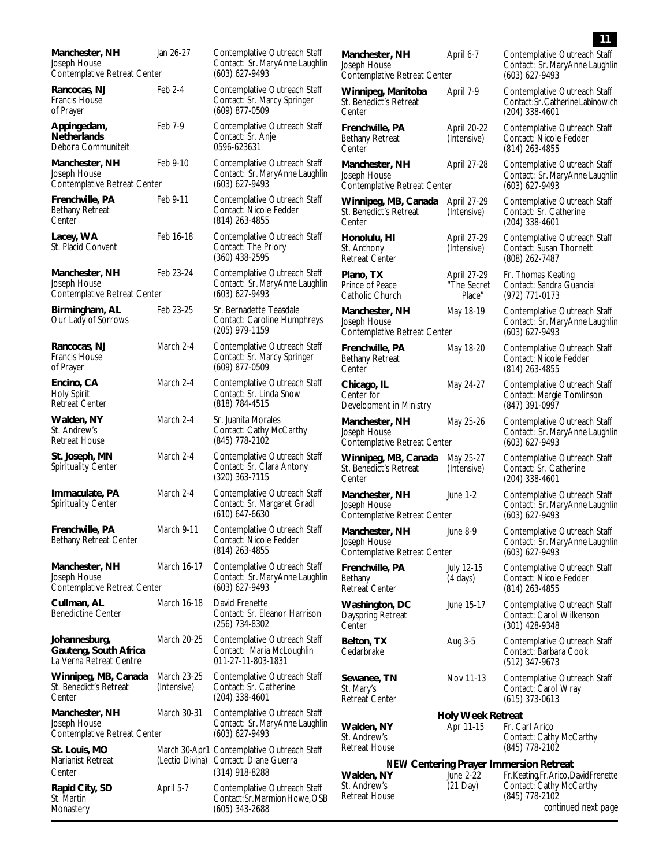| Manchester, NH<br>Joseph House<br>Contemplative Retreat Center    | Jan 26-27                  | Contemplative Outreach Staff<br>Contact: Sr. MaryAnne Laughlin<br>$(603) 627 - 9493$    |
|-------------------------------------------------------------------|----------------------------|-----------------------------------------------------------------------------------------|
| Rancocas, NJ<br>Francis House<br>of Prayer                        | Feb 2-4                    | Contemplative Outreach Staff<br>Contact: Sr. Marcy Springer<br>$(609)$ 877-0509         |
| Appingedam,<br><b>Netherlands</b><br>Debora Communiteit           | Feb 7-9                    | Contemplative Outreach Staff<br>Contact: Sr. Anje<br>0596-623631                        |
| Manchester, NH<br>Joseph House<br>Contemplative Retreat Center    | Feb 9-10                   | Contemplative Outreach Staff<br>Contact: Sr. MaryAnne Laughlin<br>(603) 627-9493        |
| Frenchville, PA<br><b>Bethany Retreat</b><br>Center               | Feb 9-11                   | Contemplative Outreach Staff<br>Contact: Nicole Fedder<br>(814) 263-4855                |
| Lacey, WA<br>St. Placid Convent                                   | Feb 16-18                  | Contemplative Outreach Staff<br>Contact: The Priory<br>$(360)$ 438-2595                 |
| Manchester, NH<br>Joseph House<br>Contemplative Retreat Center    | Feb 23-24                  | Contemplative Outreach Staff<br>Contact: Sr. MaryAnne Laughlin<br>(603) 627-9493        |
| Birmingham, AL<br>Our Lady of Sorrows                             | Feb 23-25                  | Sr. Bernadette Teasdale<br>Contact: Caroline Humphreys<br>(205) 979-1159                |
| Rancocas, NJ<br>Francis House<br>of Prayer                        | March 2-4                  | Contemplative Outreach Staff<br>Contact: Sr. Marcy Springer<br>$(609)$ 877-0509         |
| Encino, CA<br><b>Holy Spirit</b><br><b>Retreat Center</b>         | March 2-4                  | Contemplative Outreach Staff<br>Contact: Sr. Linda Snow<br>(818) 784-4515               |
| Walden, NY<br>St. Andrew's<br>Retreat House                       | March 2-4                  | Sr. Juanita Morales<br>Contact: Cathy McCarthy<br>(845) 778-2102                        |
| St. Joseph, MN<br><b>Spirituality Center</b>                      | March 2-4                  | Contemplative Outreach Staff<br>Contact: Sr. Clara Antony<br>$(320)$ 363-7115           |
| Immaculate, PA<br><b>Spirituality Center</b>                      | March 2-4                  | Contemplative Outreach Staff<br>Contact: Sr. Margaret Gradl<br>$(610) 647 - 6630$       |
| Frenchville, PA<br>Bethany Retreat Center                         | March 9-11                 | Contemplative Outreach Staff<br>Contact: Nicole Fedder<br>(814) 263-4855                |
| Manchester, NH<br>Joseph House<br>Contemplative Retreat Center    | March 16-17                | Contemplative Outreach Staff<br>Contact: Sr. MaryAnne Laughlin<br>(603) 627-9493        |
| Cullman, AL<br><b>Benedictine Center</b>                          | March 16-18                | David Frenette<br>Contact: Sr. Eleanor Harrison<br>(256) 734-8302                       |
| Johannesburg,<br>Gauteng, South Africa<br>La Verna Retreat Centre | March 20-25                | Contemplative Outreach Staff<br>Contact: Maria McLoughlin<br>011-27-11-803-1831         |
| Winnipeg, MB, Canada<br>St. Benedict's Retreat<br>Center          | March 23-25<br>(Intensive) | Contemplative Outreach Staff<br>Contact: Sr. Catherine<br>$(204)$ 338-4601              |
| Manchester, NH<br>Joseph House<br>Contemplative Retreat Center    | March 30-31                | Contemplative Outreach Staff<br>Contact: Sr. MaryAnne Laughlin<br>$(603) 627 - 9493$    |
| St. Louis, MO<br>Marianist Retreat<br>Center                      | (Lectio Divina)            | March 30-Apr1 Contemplative Outreach Staff<br>Contact: Diane Guerra<br>$(314)$ 918-8288 |
| Rapid City, SD<br>St. Martin<br>Monastery                         | April 5-7                  | Contemplative Outreach Staff<br>Contact: Sr. Marmion Howe, OSB<br>$(605)$ 343-2688      |

|        | Contemplative Outreach Staff<br>Contact: Sr. MaryAnne Laughlin<br>(603) 627-9493      | Μ<br>Jo:<br>C١            |
|--------|---------------------------------------------------------------------------------------|---------------------------|
|        | Contemplative Outreach Staff<br>Contact: Sr. Marcy Springer<br>(609) 877-0509         | N<br>St<br>C۱             |
|        | Contemplative Outreach Staff<br>Contact: Sr. Anje<br>0596-623631                      | Fı<br>Βe<br>C۱            |
|        | Contemplative Outreach Staff<br>Contact: Sr. MaryAnne Laughlin<br>(603) 627-9493      | м<br>Jo:<br>C۱            |
|        | Contemplative Outreach Staff<br>Contact: Nicole Fedder<br>(814) 263-4855              | N<br>St<br>C۱             |
|        | Contemplative Outreach Staff<br>Contact: The Priory<br>(360) 438-2595                 | н<br>St<br>R٤             |
|        | Contemplative Outreach Staff<br>Contact: Sr. MaryAnne Laughlin<br>(603) 627-9493      | PI<br>Pr<br>Ci            |
|        | Sr. Bernadette Teasdale<br><b>Contact: Caroline Humphreys</b><br>(205) 979-1159       | Μ<br>Jo<br>C١             |
|        | Contemplative Outreach Staff<br>Contact: Sr. Marcy Springer<br>(609) 877-0509         | Fı<br>Βe<br>C۱            |
|        | Contemplative Outreach Staff<br>Contact: Sr. Linda Snow<br>(818) 784-4515             | С<br>C۱<br>D              |
|        | Sr. Juanita Morales<br>Contact: Cathy McCarthy<br>(845) 778-2102                      | M<br>Jo:<br>C۱            |
|        | Contemplative Outreach Staff<br>Contact: Sr. Clara Antony<br>(320) 363-7115           | N<br>St<br>C۱             |
|        | Contemplative Outreach Staff<br>Contact: Sr. Margaret Gradl<br>(610) 647-6630         | Μ<br>Jo:<br>C١            |
|        | Contemplative Outreach Staff<br>Contact: Nicole Fedder<br>(814) 263-4855              | Μ<br>Jo:<br>C۱            |
|        | Contemplative Outreach Staff<br>Contact: Sr. MaryAnne Laughlin<br>(603) 627-9493      | Fr<br>Вe<br>R٥            |
|        | David Frenette<br>Contact: Sr. Eleanor Harrison<br>(256) 734-8302                     | w<br>Di<br>C۱             |
|        | Contemplative Outreach Staff<br>Contact: Maria McLoughlin<br>011-27-11-803-1831       | В<br>C۱                   |
|        | Contemplative Outreach Staff<br>Contact: Sr. Catherine<br>(204) 338-4601              | S <sub>6</sub><br>St<br>R |
|        | Contemplative Outreach Staff<br>Contact: Sr. MaryAnne Laughlin<br>(603) 627-9493      | N<br>St                   |
| 1<br>1 | Contemplative Outreach Staff<br>Contact: Diane Guerra<br>(314) 918-8288               | R٤<br>w                   |
|        | Contemplative Outreach Staff<br>Contact: Sr. Marmion Howe, OSB<br>$(605)$ $242$ $260$ | St<br>R٤                  |

|                                                                |                                      | ш                                                                                    |
|----------------------------------------------------------------|--------------------------------------|--------------------------------------------------------------------------------------|
| Manchester, NH<br>Joseph House<br>Contemplative Retreat Center | April 6-7                            | Contemplative Outreach Staff<br>Contact: Sr. MaryAnne Laughlin<br>$(603) 627 - 9493$ |
| Winnipeg, Manitoba<br>St. Benedict's Retreat<br>Center         | April 7-9                            | Contemplative Outreach Staff<br>Contact: Sr. Catherine Labinowich<br>(204) 338-4601  |
| Frenchville, PA<br>Bethany Retreat<br>Center                   | <b>April 20-22</b><br>(Intensive)    | Contemplative Outreach Staff<br>Contact: Nicole Fedder<br>$(814)$ 263-4855           |
| Manchester, NH<br>Joseph House<br>Contemplative Retreat Center | April 27-28                          | Contemplative Outreach Staff<br>Contact: Sr. MaryAnne Laughlin<br>$(603) 627 - 9493$ |
| Winnipeg, MB, Canada<br>St. Benedict's Retreat<br>Center       | April 27-29<br>(Intensive)           | Contemplative Outreach Staff<br>Contact: Sr. Catherine<br>$(204)$ 338-4601           |
| Honolulu, HI<br>St. Anthony<br>Retreat Center                  | April 27-29<br>(Intensive)           | Contemplative Outreach Staff<br>Contact: Susan Thornett<br>(808) 262-7487            |
| Plano, TX<br>Prince of Peace<br>Catholic Church                | April 27-29<br>"The Secret<br>Place" | Fr. Thomas Keating<br>Contact: Sandra Guancial<br>(972) 771-0173                     |
| Manchester, NH<br>Joseph House<br>Contemplative Retreat Center | May 18-19                            | Contemplative Outreach Staff<br>Contact: Sr. MaryAnne Laughlin<br>$(603) 627 - 9493$ |
| Frenchville, PA<br>Bethany Retreat<br>Center                   | May 18-20                            | Contemplative Outreach Staff<br>Contact: Nicole Fedder<br>$(814)$ 263-4855           |
| Chicago, IL<br>Center for<br>Development in Ministry           | May 24-27                            | Contemplative Outreach Staff<br>Contact: Margie Tomlinson<br>(847) 391-0997          |
| Manchester, NH<br>Joseph House<br>Contemplative Retreat Center | May 25-26                            | Contemplative Outreach Staff<br>Contact: Sr. MaryAnne Laughlin<br>$(603) 627 - 9493$ |
| Winnipeg, MB, Canada<br>St. Benedict's Retreat<br>Center       | May 25-27<br>(Intensive)             | Contemplative Outreach Staff<br>Contact: Sr. Catherine<br>(204) 338-4601             |
| Manchester, NH<br>Joseph House<br>Contemplative Retreat Center | <b>June 1-2</b>                      | Contemplative Outreach Staff<br>Contact: Sr. MaryAnne Laughlin<br>$(603) 627 - 9493$ |
| Manchester, NH<br>Joseph House<br>Contemplative Retreat Center | June 8-9                             | Contemplative Outreach Staff<br>Contact: Sr. MaryAnne Laughlin<br>(603) 627-9493     |
| Frenchville, PA<br>Bethany<br>Retreat Center                   | July 12-15<br>$(4 \text{ days})$     | Contemplative Outreach Staff<br>Contact: Nicole Fedder<br>$(814)$ 263-4855           |
| Washington, DC<br>Dayspring Retreat<br>Center                  | June 15-17                           | Contemplative Outreach Staff<br>Contact: Carol Wilkenson<br>(301) 428-9348           |
| Belton, TX<br>Cedarbrake                                       | Aug 3-5                              | Contemplative Outreach Staff<br>Contact: Barbara Cook<br>(512) 347-9673              |
| Sewanee, TN<br>St. Mary's<br>Retreat Center                    | Nov 11-13                            | Contemplative Outreach Staff<br>Contact: Carol Wray<br>$(615)$ 373-0613              |
|                                                                | <b>Holy Week Retreat</b>             |                                                                                      |
| Walden, NY<br>St. Andrew's<br><b>Retreat House</b>             | Apr 11-15                            | Fr. Carl Arico<br>Contact: Cathy McCarthy<br>(845) 778-2102                          |
|                                                                |                                      | NEW Centering Prayer Immersion Retreat                                               |
| Walden, NY<br>St. Andrew's<br>Retreat House                    | June 2-22<br>$(21 \text{ Day})$      | Fr. Keating, Fr. Arico, David Frenette<br>Contact: Cathy McCarthy<br>(845) 778-2102  |
|                                                                |                                      | continued next page                                                                  |

### **11**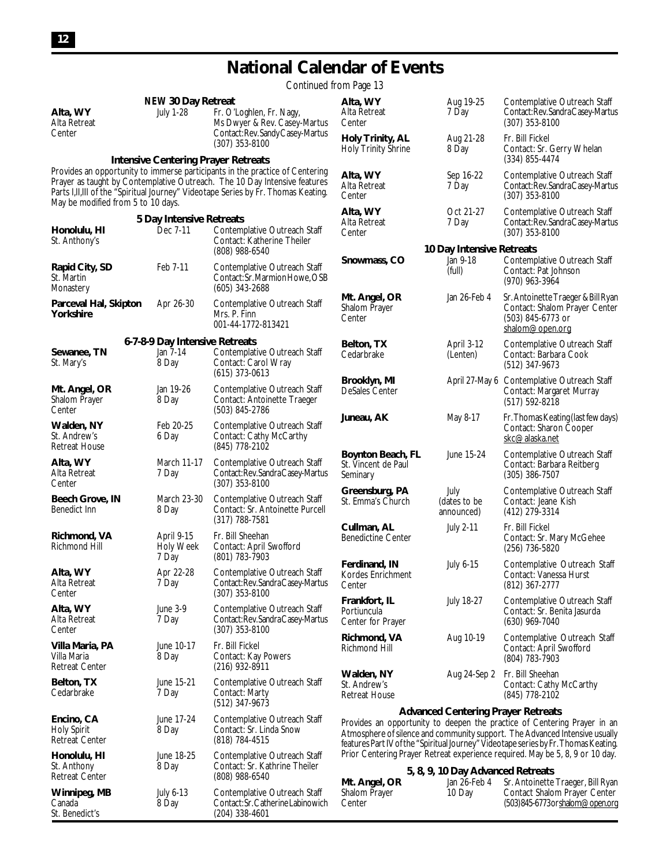### **National Calendar of Events**

Continued from Page 13

| Alta, WY<br>Alta Retreat                                          | NEW 30 Day Retreat<br><b>July 1-28</b><br>Fr. O'Loghlen, Fr. Nagy,<br>Ms Dwyer & Rev. Casey-Martus |                                                                                                                                                                                                                                                  | Alta, WY<br>Alta Retreat<br>Center                   | Aug 19-25<br>7 Day                        | Contemplative Outreach Staff<br>Contact: Rev. Sandra Casey-Martus<br>$(307)$ 353-8100                                                                                                                                                          |
|-------------------------------------------------------------------|----------------------------------------------------------------------------------------------------|--------------------------------------------------------------------------------------------------------------------------------------------------------------------------------------------------------------------------------------------------|------------------------------------------------------|-------------------------------------------|------------------------------------------------------------------------------------------------------------------------------------------------------------------------------------------------------------------------------------------------|
| Center                                                            |                                                                                                    | Contact: Rev. Sandy Casey-Martus<br>$(307)$ 353-8100<br><b>Intensive Centering Prayer Retreats</b>                                                                                                                                               | Holy Trinity, AL<br><b>Holy Trinity Shrine</b>       | Aug 21-28<br>8 Day                        | Fr. Bill Fickel<br>Contact: Sr. Gerry Whelan<br>$(334) 855 - 4474$                                                                                                                                                                             |
| May be modified from 5 to 10 days.                                |                                                                                                    | Provides an opportunity to immerse participants in the practice of Centering<br>Prayer as taught by Contemplative Outreach. The 10 Day Intensive features<br>Parts I, II, III of the "Spiritual Journey" Videotape Series by Fr. Thomas Keating. | Alta, WY<br>Alta Retreat<br>Center                   | Sep 16-22<br>7 Day                        | Contemplative Outreach Staff<br>Contact: Rev. Sandra Casey-Martus<br>$(307)$ 353-8100                                                                                                                                                          |
|                                                                   | 5 Day Intensive Retreats                                                                           |                                                                                                                                                                                                                                                  | Alta, WY<br>Alta Retreat                             | Oct 21-27<br>7 Day                        | Contemplative Outreach Staff<br>Contact: Rev. Sandra Casey-Martus                                                                                                                                                                              |
| Honolulu, HI<br>St. Anthony's                                     | Dec 7-11                                                                                           | Contemplative Outreach Staff<br>Contact: Katherine Theiler                                                                                                                                                                                       | Center                                               |                                           | $(307)$ 353-8100                                                                                                                                                                                                                               |
|                                                                   |                                                                                                    | (808) 988-6540                                                                                                                                                                                                                                   | Snowmass, CO                                         | 10 Day Intensive Retreats<br>Jan 9-18     | Contemplative Outreach Staff                                                                                                                                                                                                                   |
| Rapid City, SD<br>St. Martin<br>Monastery                         | Feb 7-11                                                                                           | Contemplative Outreach Staff<br>Contact: Sr. Marmion Howe, OSB<br>$(605)$ 343-2688                                                                                                                                                               |                                                      | (full)                                    | Contact: Pat Johnson<br>(970) 963-3964                                                                                                                                                                                                         |
| Parceval Hal, Skipton<br>Yorkshire                                | Apr 26-30                                                                                          | Contemplative Outreach Staff<br>Mrs. P. Finn<br>001-44-1772-813421                                                                                                                                                                               | Mt. Angel, OR<br>Shalom Prayer<br>Center             | Jan 26-Feb 4                              | Sr. Antoinette Traeger & Bill Ryan<br>Contact: Shalom Prayer Center<br>(503) 845-6773 or<br>shalom@open.org                                                                                                                                    |
|                                                                   | 6-7-8-9 Day Intensive Retreats                                                                     |                                                                                                                                                                                                                                                  | Belton, TX                                           | April 3-12                                | Contemplative Outreach Staff                                                                                                                                                                                                                   |
| Sewanee, TN<br>St. Mary's                                         | Jan 7-14<br>8 Day                                                                                  | Contemplative Outreach Staff<br>Contact: Carol Wray<br>$(615)$ 373-0613                                                                                                                                                                          | Cedarbrake                                           | (Lenten)                                  | Contact: Barbara Cook<br>(512) 347-9673                                                                                                                                                                                                        |
| Mt. Angel, OR<br>Shalom Prayer<br>Center                          | Jan 19-26<br>8 Day                                                                                 | Contemplative Outreach Staff<br>Contact: Antoinette Traeger<br>(503) 845-2786                                                                                                                                                                    | Brooklyn, MI<br>DeSales Center                       |                                           | April 27-May 6 Contemplative Outreach Staff<br>Contact: Margaret Murray<br>$(517) 592 - 8218$                                                                                                                                                  |
| Walden, NY<br>St. Andrew's                                        | Feb 20-25<br>6 Day                                                                                 | Contemplative Outreach Staff<br>Contact: Cathy McCarthy                                                                                                                                                                                          | Juneau, AK                                           | May 8-17                                  | Fr. Thomas Keating (last few days)<br>Contact: Sharon Cooper<br>skc@alaska.net                                                                                                                                                                 |
| Retreat House<br>Alta, WY<br>Alta Retreat                         | March 11-17<br>7 Day                                                                               | (845) 778-2102<br>Contemplative Outreach Staff<br>Contact: Rev. Sandra Casey-Martus                                                                                                                                                              | Boynton Beach, FL<br>St. Vincent de Paul<br>Seminary | June 15-24                                | Contemplative Outreach Staff<br>Contact: Barbara Reitberg<br>$(305)$ 386-7507                                                                                                                                                                  |
| Center<br>Beech Grove, IN<br>Benedict Inn                         | March 23-30<br>8 Day                                                                               | $(307)$ 353-8100<br>Contemplative Outreach Staff<br>Contact: Sr. Antoinette Purcell                                                                                                                                                              | Greensburg, PA<br>St. Emma's Church                  | July<br>(dates to be<br>announced)        | Contemplative Outreach Staff<br>Contact: Jeane Kish<br>$(412)$ 279-3314                                                                                                                                                                        |
| Richmond, VA<br>Richmond Hill                                     | April 9-15<br><b>Holy Week</b>                                                                     | $(317)$ 788-7581<br>Fr. Bill Sheehan<br>Contact: April Swofford<br>(801) 783-7903                                                                                                                                                                | Cullman, AL<br><b>Benedictine Center</b>             | <b>July 2-11</b>                          | Fr. Bill Fickel<br>Contact: Sr. Mary McGehee<br>$(256)$ 736-5820                                                                                                                                                                               |
| Alta, WY<br>Alta Retreat                                          | 7 Day<br>Apr 22-28<br>7 Day                                                                        | Contemplative Outreach Staff<br>Contact: Rev. Sandra Casey-Martus                                                                                                                                                                                | Ferdinand, IN<br>Kordes Enrichment<br>Center         | July 6-15                                 | Contemplative Outreach Staff<br>Contact: Vanessa Hurst<br>(812) 367-2777                                                                                                                                                                       |
| Center<br>Alta, WY<br>Alta Retreat                                | June 3-9<br>7 Day                                                                                  | (307) 353-8100<br>Contemplative Outreach Staff<br>Contact: Rev. Sandra Casey-Martus                                                                                                                                                              | Frankfort, IL<br>Portiuncula<br>Center for Prayer    | July 18-27                                | Contemplative Outreach Staff<br>Contact: Sr. Benita Jasurda<br>$(630)$ 969-7040                                                                                                                                                                |
| Center<br>Villa Maria, PA<br>Villa Maria                          | June 10-17<br>8 Day                                                                                | $(307)$ 353-8100<br>Fr. Bill Fickel<br>Contact: Kay Powers                                                                                                                                                                                       | Richmond, VA<br><b>Richmond Hill</b>                 | Aug 10-19                                 | Contemplative Outreach Staff<br>Contact: April Swofford<br>(804) 783-7903                                                                                                                                                                      |
| <b>Retreat Center</b><br>Belton, TX<br>Cedarbrake                 | June 15-21<br>7 Day                                                                                | $(216)$ 932-8911<br>Contemplative Outreach Staff<br>Contact: Marty<br>$(512)$ 347-9673                                                                                                                                                           | Walden, NY<br>St. Andrew's<br>Retreat House          | Aug 24-Sep 2                              | Fr. Bill Sheehan<br>Contact: Cathy McCarthy<br>(845) 778-2102                                                                                                                                                                                  |
| Encino, CA<br><b>Holy Spirit</b><br>Retreat Center                | June 17-24<br>8 Day                                                                                | Contemplative Outreach Staff<br>Contact: Sr. Linda Snow<br>(818) 784-4515                                                                                                                                                                        |                                                      | <b>Advanced Centering Prayer Retreats</b> | Provides an opportunity to deepen the practice of Centering Prayer in an<br>Atmosphere of silence and community support. The Advanced Intensive usually<br>features Part IV of the "Spiritual Journey" Videotape series by Fr. Thomas Keating. |
| Honolulu, HI<br>St. Anthony                                       | June 18-25<br>8 Day                                                                                | Contemplative Outreach Staff<br>Contact: Sr. Kathrine Theiler                                                                                                                                                                                    |                                                      | 5, 8, 9, 10 Day Advanced Retreats         | Prior Centering Prayer Retreat experience required. May be 5, 8, 9 or 10 day.                                                                                                                                                                  |
| <b>Retreat Center</b><br>Winnipeg, MB<br>Canada<br>St. Benedict's | July 6-13<br>8 Day                                                                                 | $(808)$ 988-6540<br>Contemplative Outreach Staff<br>Contact: Sr. Catherine Labinowich<br>(204) 338-4601                                                                                                                                          | Mt. Angel, OR<br>Shalom Prayer<br>Center             | Jan 26-Feb 4<br>10 Day                    | Sr. Antoinette Traeger, Bill Ryan<br>Contact Shalom Prayer Center<br>(503)845-6773 or shalom@open.org                                                                                                                                          |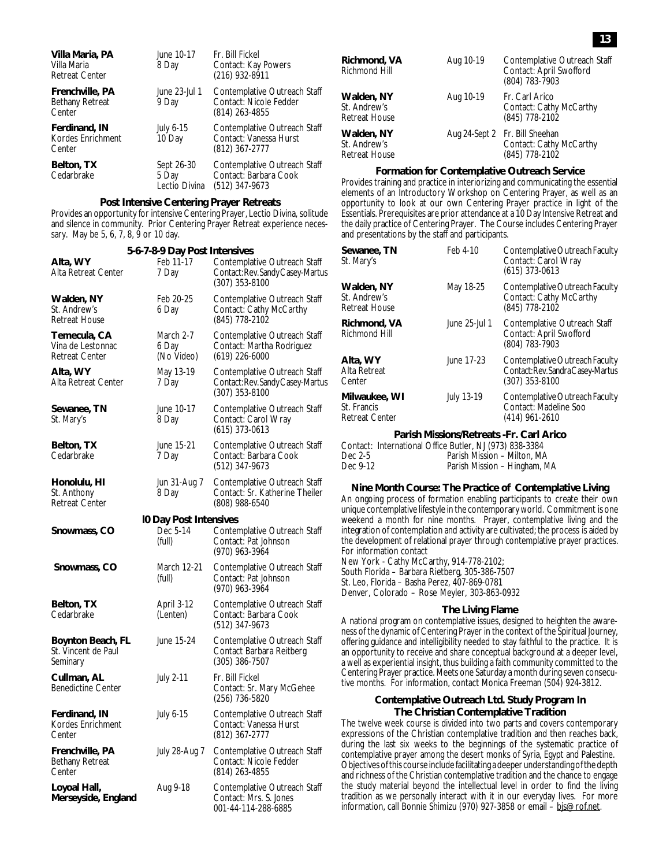| Villa Maria, PA<br>Villa Maria<br><b>Retreat Center</b> | June 10-17<br>8 Day                  | Fr. Bill Fickel<br>Contact: Kay Powers<br>(216) 932-8911                  |
|---------------------------------------------------------|--------------------------------------|---------------------------------------------------------------------------|
| Frenchville, PA<br>Bethany Retreat<br>Center            | June 23-Jul 1<br>9 Day               | Contemplative Outreach Staff<br>Contact: Nicole Fedder<br>(814) 263-4855  |
| Ferdinand, IN<br>Kordes Enrichment<br>Center            | July 6-15<br>10 Day                  | Contemplative Outreach Staff<br>Contact: Vanessa Hurst<br>(812) 367-2777  |
| Belton, TX<br>Cedarbrake                                | Sept 26-30<br>5 Day<br>Lectio Divina | Contemplative Outreach Staff<br>Contact: Barbara Cook<br>$(512)$ 347-9673 |

#### **Post Intensive Centering Prayer Retreats**

Provides an opportunity for intensive Centering Prayer, Lectio Divina, solitude and silence in community. Prior Centering Prayer Retreat experience necessary. May be 5, 6, 7, 8, 9 or 10 day.

| 5-6-7-8-9 Day Post Intensives                              |                                                     |                                                                                    |  |
|------------------------------------------------------------|-----------------------------------------------------|------------------------------------------------------------------------------------|--|
| Alta, WY<br>Alta Retreat Center                            | Feb 11-17<br>7 Day                                  | Contemplative Outreach Staff<br>Contact: Rev. Sandy Casey-Martus<br>(307) 353-8100 |  |
| Walden, NY<br>St. Andrew's<br><b>Retreat House</b>         | Feb 20-25<br>6 Day                                  | Contemplative Outreach Staff<br>Contact: Cathy McCarthy<br>(845) 778-2102          |  |
| Temecula, CA<br>Vina de Lestonnac<br><b>Retreat Center</b> | March 2-7<br>6 Day<br>(No Video)                    | Contemplative Outreach Staff<br>Contact: Martha Rodriguez<br>(619) 226-6000        |  |
| Alta, WY<br>Alta Retreat Center                            | May 13-19<br>7 Day                                  | Contemplative Outreach Staff<br>Contact: Rev. Sandy Casey-Martus<br>(307) 353-8100 |  |
| Sewanee, TN<br>St. Mary's                                  | June 10-17<br>8 Day                                 | Contemplative Outreach Staff<br>Contact: Carol Wray<br>(615) 373-0613              |  |
| Belton, TX<br>Cedarbrake                                   | June 15-21<br>7 Day                                 | Contemplative Outreach Staff<br>Contact: Barbara Cook<br>(512) 347-9673            |  |
| Honolulu, HI<br>St. Anthony<br><b>Retreat Center</b>       | Jun 31-Aug 7<br>8 Day                               | Contemplative Outreach Staff<br>Contact: Sr. Katherine Theiler<br>(808) 988-6540   |  |
| Snowmass, CO                                               | <b>IO Day Post Intensives</b><br>Dec 5-14<br>(full) | Contemplative Outreach Staff<br>Contact: Pat Johnson<br>(970) 963-3964             |  |
| Snowmass, CO                                               | March 12-21<br>(full)                               | Contemplative Outreach Staff<br>Contact: Pat Johnson<br>(970) 963-3964             |  |
| Belton, TX<br>Cedarbrake                                   | April 3-12<br>(Lenten)                              | Contemplative Outreach Staff<br>Contact: Barbara Cook<br>$(512)$ 347-9673          |  |
| Boynton Beach, FL<br>St. Vincent de Paul<br>Seminary       | June 15-24                                          | Contemplative Outreach Staff<br>Contact Barbara Reitberg<br>(305) 386-7507         |  |
| Cullman, AL<br><b>Benedictine Center</b>                   | <b>July 2-11</b>                                    | Fr. Bill Fickel<br>Contact: Sr. Mary McGehee<br>(256) 736-5820                     |  |
| Ferdinand, IN<br>Kordes Enrichment<br>Center               | July 6-15                                           | Contemplative Outreach Staff<br>Contact: Vanessa Hurst<br>(812) 367-2777           |  |
| Frenchville, PA<br><b>Bethany Retreat</b><br>Center        | July 28-Aug 7                                       | Contemplative Outreach Staff<br>Contact: Nicole Fedder<br>(814) 263-4855           |  |
| Loyoal Hall,<br>Merseyside, England                        | Aug 9-18                                            | Contemplative Outreach Staff<br>Contact: Mrs. S. Jones<br>001-44-114-288-6885      |  |

| Richmond, VA<br>Richmond Hill               | Aug 10-19 | Contemplative Outreach Staff<br>Contact: April Swofford<br>(804) 783-7903   |
|---------------------------------------------|-----------|-----------------------------------------------------------------------------|
| Walden, NY<br>St. Andrew's<br>Retreat House | Aug 10-19 | Fr. Carl Arico<br>Contact: Cathy McCarthy<br>(845) 778-2102                 |
| Walden, NY<br>St. Andrew's<br>Retreat House |           | Aug 24-Sept 2 Fr. Bill Sheehan<br>Contact: Cathy McCarthy<br>(845) 778-2102 |

#### **Formation for Contemplative Outreach Service**

Provides training and practice in interiorizing and communicating the essential elements of an Introductory Workshop on Centering Prayer, as well as an opportunity to look at our own Centering Prayer practice in light of the Essentials. Prerequisites are prior attendance at a 10 Day Intensive Retreat and the daily practice of Centering Prayer. The Course includes Centering Prayer and presentations by the staff and participants.

| Sewanee, TN<br>St. Mary's                             | Feb 4-10      | Contemplative Outreach Faculty<br>Contact: Carol Wray<br>$(615)$ 373-0613               |
|-------------------------------------------------------|---------------|-----------------------------------------------------------------------------------------|
| Walden, NY<br>St. Andrew's<br><b>Retreat House</b>    | May 18-25     | Contemplative Outreach Faculty<br>Contact: Cathy McCarthy<br>(845) 778-2102             |
| Richmond, VA<br>Richmond Hill                         | June 25-Jul 1 | Contemplative Outreach Staff<br>Contact: April Swofford<br>(804) 783-7903               |
| Alta, WY<br>Alta Retreat<br>Center                    | June 17-23    | Contemplative Outreach Faculty<br>Contact: Rev. Sandra Casey-Martus<br>$(307)$ 353-8100 |
| Milwaukee, WI<br>St. Francis<br><b>Retreat Center</b> | July 13-19    | Contemplative Outreach Faculty<br>Contact: Madeline Soo<br>(414) 961-2610               |

#### **Parish Missions/Retreats -Fr. Carl Arico**

|          | Contact: International Office Butler, NJ (973) 838-3384 |
|----------|---------------------------------------------------------|
| Dec 2-5  | Parish Mission - Milton, MA                             |
| Dec 9-12 | Parish Mission - Hingham, MA                            |

### **Nine Month Course: The Practice of Contemplative Living**

An ongoing process of formation enabling participants to create their own unique contemplative lifestyle in the contemporary world. Commitment is one weekend a month for nine months. Prayer, contemplative living and the integration of contemplation and activity are cultivated; the process is aided by the development of relational prayer through contemplative prayer practices. For information contact

New York - Cathy McCarthy, 914-778-2102; South Florida – Barbara Rietberg, 305-386-7507 St. Leo, Florida – Basha Perez, 407-869-0781 Denver, Colorado – Rose Meyler, 303-863-0932

#### **The Living Flame**

A national program on contemplative issues, designed to heighten the awareness of the dynamic of Centering Prayer in the context of the Spiritual Journey, offering guidance and intelligibility needed to stay faithful to the practice. It is an opportunity to receive and share conceptual background at a deeper level, a well as experiential insight, thus building a faith community committed to the Centering Prayer practice. Meets one Saturday a month during seven consecutive months. For information, contact Monica Freeman (504) 924-3812.

#### **Contemplative Outreach Ltd. Study Program In The Christian Contemplative Tradition**

The twelve week course is divided into two parts and covers contemporary expressions of the Christian contemplative tradition and then reaches back, during the last six weeks to the beginnings of the systematic practice of contemplative prayer among the desert monks of Syria, Egypt and Palestine. Objectives of this course include facilitating a deeper understanding of the depth and richness of the Christian contemplative tradition and the chance to engage the study material beyond the intellectual level in order to find the living tradition as we personally interact with it in our everyday lives. For more information, call Bonnie Shimizu (970) 927-3858 or email - bis@rof.net.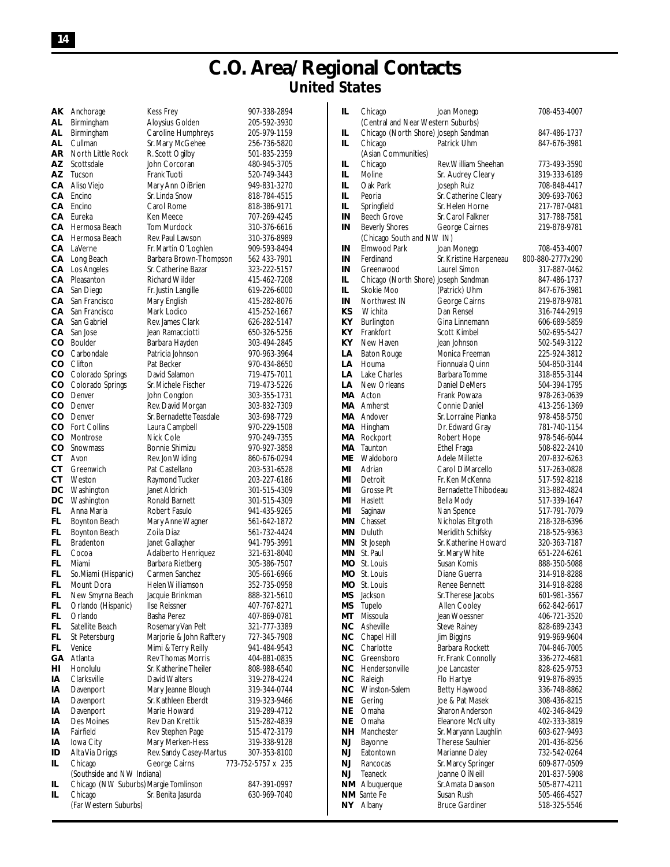### **C.O. Area/ Regional Contacts United States**

 $\mathbf{L}$ 

AL Birmingham Caroline Humphreys **CA** LaVerne Fr. Martin O'Loghlen **CA** Los Angeles **San Francisco CO** Carbondale **CO** Denver John Congdon<br> **CO** Denver Rev David Mor **CO** Montrose Nick Cole **CT** Greenwich Pat Castellano **FL** Mount Dora **Helen Williamson**<br> **FL** New Smyrna Beach Jacquie Brinkman **IA** Clarksville David Walters (Southside and NW Indiana)

(Far Western Suburbs)

**AK** Anchorage Kess Frey 907-338-2894 **AL** Birmingham **Aloysius Golden** 205-592-392-305-992-305-992-305-992-305-992-305-992-305-992-305-99-305-99-305-99-305-99-305-99-305-99-305-99-305-99-305-99-305-99-305-99-305-99-305-99-305-99-305-99-305-99-305-99-305-99-30 AL Cullman Sr. Mary McGehee 256-736-**AR** North Little Rock R. Scott Ogilby 501-835-AZ Scottsdale John Corcoran 480-945-**AZ** Tucson Frank Tuoti 520-749-<br> **CA** Aliso Viejo Mary Ann OíBrien 949-831-**Mary Ann OíBrien** CA Encino Sr. Linda Snow 818-784-**CA** Encino Carol Rome 818-386-CA Eureka Ken Meece 707-269-**CA** Hermosa Beach Tom Murdock 310-376-**CA** Hermosa Beach Rev. Paul Lawson 310-376-<br> **CA** LaVerne Fr. Martin O'Loghlen 909-593-**CA** Long Beach Barbara Brown-Thompson 562 433-<br>**CA** Los Angeles Sr. Catherine Bazar 323-222-**CA** Pleasanton Richard Wilder 415-462-7208 **CA** San Diego Fr. Justin Langille 619-226-6000 CA San Francisco Mark Lodico 415-252-**CA** San Gabriel Rev. James Clark 626-282-CA San Jose Jean Ramacciotti 650-326-**CO** Boulder **Barbara Hayden** 303-494-<br> **CO** Carbondale **Barbara Patricia Johnson** 970-963-**CO** Clifton **Pat Becker** 970-434-**CO** Colorado Springs David Salamon **719-475-719-812**<br>**CO** Colorado Springs Sr. Michele Fischer 719-473-**CO** Colorado Springs Sr. Michele Fischer 719-473-<br> **CO** Denver **100 John Congdon** 303-355-Rev. David Morgan 303-832-**CO** Denver Sr. Bernadette Teasdale 303-698-**CO** Fort Collins Laura Campbell 970-229-<br> **CO** Montrose **Nick Cole** 970-249-**CO** Snowmass Bonnie Shimizu 970-927-3858 **CT** Avon **Rev. Jon Widing** 860-676-<br> **CT** Greenwich Pat Castellano 203-531-**CT** Weston Raymond Tucker 203-227-DC Washington Janet Aldrich 301-515-**DC** Washington **Ronald Barnett** 301-515-435-430<br> **FL** Anna Maria Robert Fasulo 941-435-**Robert Fasulo FL** Boynton Beach Mary Anne Wagner 561-642-**FL** Boynton Beach **Zoila Diaz** 561-732-**FL** Bradenton Janet Gallagher 941-795-**FL** Cocoa **Adalberto Henriquez** 321-631-**FL** Miami Barbara Rietberg 305-386-7607 Barbara Rietberg 305-681-7507 Barmen Sanchez **FL** So.Miami (Hispanic) Carmen Sanchez 305-661-6966 **FL** New Smyrna Beach Jacquie Brinkman 888-321-**FL** Orlando (Hispanic) Ilse Reissner **1898 11-838 12-838 1407-767-889**<br> **FL** Orlando Basha Perez 18407-869-**Basha Perez FL** Satellite Beach Rosemary Van Pelt 321-777-FL St Petersburg Marjorie & John Rafftery 727-345-**FL** Venice Mimi & Terry Reilly 941-484-**GA** Atlanta Rev Thomas Morris 404-881-0835 Honolulu Sr. Katherine Theiler 808-988-<br>Clarksville David Walters 319-278-**IA** Davenport Mary Jeanne Blough 319-344-**IA** Davenport Sr. Kathleen Eberdt 319-323-**IA** Davenport Marie Howard 319-289-471289-471289-4712289-4712289-4712289-4712289-4712220-4712220-4712220-4712220-4712220-4712220-4712220-4712220-4712220-4712220-4712220-4712220-4712220-4712220-4712220-4712220-4712220-4712 **IA** Des Moines Rev Dan Krettik 515-282-**IA** Fairfield Rev Stephen Page 515-472-**IA** Iowa City Mary Merken-Hess 319-338-**ID** Alta Via Driggs Rev. Sandy Casey-Martus 307-353-<br> **IL** Chicago George Cairns 773-752-5757 x Chicago George Cairns 773-752-5757 x **IL** Chicago (NW Suburbs) Margie Tomlinson 847-391-**IL** Chicago Sr. Benita Jasurda 630-969-

| 2894         | IL  |
|--------------|-----|
| 3930         |     |
| 1159         | IL. |
| 5820         | IL  |
| 2359         |     |
| 3705<br>3443 | IL  |
|              | IL. |
| 3270         | IL. |
| 4515         | IL  |
| 9171         | IL  |
| 4245         | ΙN  |
| 6616         | ΙN  |
| 8989         |     |
| 8494         | ΙN  |
| 7901         | ΙN  |
| 5157         | ΙN  |
| 7208         | IL. |
| 6000         | IL. |
| 8076         | ΙN  |
| 1667         | ΚŚ  |
| 5147         | K١  |
| 5256         | K١  |
| 2845         | K١  |
| 3964         | LA  |
| 8650         | L   |
| 7011         | L   |
| 5226         | L/  |
| 1731         | M   |
| 7309         | M   |
| 7729         | M   |
| 1508         | M   |
| 7355         | M   |
| 3858         | M   |
| 0294         | MI  |
| 6528         | MI  |
| 6186         | MI  |
| 4309         | MI  |
| 4309         | MI  |
| 9265         | MI  |
| 1872         | MI  |
| 4424         | MI  |
| 3991         | MI  |
| 8040         | MI  |
| 7507         | М٥  |
| 6966         | M   |
| 0958         | M   |
| 5610         | M.  |
| 8271         | M.  |
| 0781         | M.  |
| 3389         | N   |
| 7908         | N   |
|              |     |
| 9543         | N   |
| 0835         | N   |
| 6540         | N   |
| 4224         | N٥  |
| 0744         | N   |
| 9466         | NI  |
| 4712         | NI  |
| 4839         | NI  |
| 3179         | Nŀ  |
| 9128         | NJ  |
| 8100         | NJ  |
| 235          | NJ  |
|              | NJ  |
| 0997         | NI  |
| 7040         | Nľ  |
|              | N١  |

I

| IL.      | Chicago<br>(Central and Near Western Suburbs)      | Joan Monego                               | 708-453-4007                 |
|----------|----------------------------------------------------|-------------------------------------------|------------------------------|
| IL       | Chicago (North Shore) Joseph Sandman               |                                           | 847-486-1737                 |
| IL       | Chicago                                            | Patrick Uhm                               | 847-676-3981                 |
|          | (Asian Communities)                                |                                           |                              |
| IL       | Chicago                                            | Rev. William Sheehan                      | 773-493-3590                 |
| IL       | Moline                                             | Sr. Audrey Cleary                         | 319-333-6189                 |
| IL       | Oak Park                                           | Joseph Ruiz                               | 708-848-4417                 |
| IL       | Peoria                                             | Sr. Catherine Cleary                      | 309-693-7063                 |
| IL       | Springfield                                        | Sr. Helen Horne                           | 217-787-0481                 |
| ΙN       | <b>Beech Grove</b>                                 | Sr. Carol Falkner                         | 317-788-7581                 |
| ΙN       | <b>Beverly Shores</b>                              | George Cairnes                            | 219-878-9781                 |
|          | (Chicago South and NW IN)                          |                                           |                              |
| ΙN       | Elmwood Park                                       | Joan Monego                               | 708-453-4007                 |
| ΙN       | Ferdinand                                          | Sr. Kristine Harpeneau                    | 800-880-2777x290             |
| ΙN       | Greenwood                                          | Laurel Simon                              | 317-887-0462                 |
| IL       | Chicago (North Shore) Joseph Sandman<br>Skokie Moo |                                           | 847-486-1737                 |
| IL<br>ΙN | Northwest IN                                       | (Patrick) Uhm                             | 847-676-3981                 |
| ΚS       | Wichita                                            | George Cairns<br>Dan Rensel               | 219-878-9781<br>316-744-2919 |
| KΥ       | Burlington                                         | Gina Linnemann                            | 606-689-5859                 |
| ΚY       | Frankfort                                          | <b>Scott Kimbel</b>                       | 502-695-5427                 |
| ΚY       | New Haven                                          | Jean Johnson                              | 502-549-3122                 |
| LA       | <b>Baton Rouge</b>                                 | Monica Freeman                            | 225-924-3812                 |
| LA       | Houma                                              | Fionnuala Quinn                           | 504-850-3144                 |
| LA       | Lake Charles                                       | Barbara Tomme                             | 318-855-3144                 |
| LA       | New Orleans                                        | <b>Daniel DeMers</b>                      | 504-394-1795                 |
| MA       | Acton                                              | Frank Powaza                              | 978-263-0639                 |
|          | <b>MA</b> Amherst                                  | Connie Daniel                             | 413-256-1369                 |
| MA       | Andover                                            | Sr. Lorraine Pianka                       | 978-458-5750                 |
| MA       | Hingham                                            | Dr. Edward Gray                           | 781-740-1154                 |
| MА       | Rockport                                           | Robert Hope                               | 978-546-6044                 |
| МA<br>MЕ | Taunton<br>Waldoboro                               | Ethel Fraga                               | 508-822-2410<br>207-832-6263 |
| МI       | Adrian                                             | Adele Millette<br>Carol DiMarcello        | 517-263-0828                 |
| ΜI       | Detroit                                            | Fr. Ken McKenna                           | 517-592-8218                 |
| ΜI       | Grosse Pt                                          | Bernadette Thibodeau                      | 313-882-4824                 |
| ΜI       | Haslett                                            | Bella Mody                                | 517-339-1647                 |
| ΜI       | Saginaw                                            | Nan Spence                                | 517-791-7079                 |
| MN       | Chasset                                            | Nicholas Eltgroth                         | 218-328-6396                 |
| MN       | Duluth                                             | Meridith Schifsky                         | 218-525-9363                 |
| МN       | St Joseph                                          | Sr. Katherine Howard                      | 320-363-7187                 |
| MN       | St. Paul                                           | Sr. Mary White                            | 651-224-6261                 |
| MO       | St. Louis                                          | Susan Komis                               | 888-350-5088                 |
| MO       | St. Louis                                          | Diane Guerra                              | 314-918-8288                 |
| MО       | St. Louis                                          | Renee Bennett                             | 314-918-8288                 |
| МS<br>МS | Jackson<br>Tupelo                                  | Sr. Therese Jacobs<br><b>Allen Cooley</b> | 601-981-3567<br>662-842-6617 |
| МT       | Missoula                                           | Jean Woessner                             | 406-721-3520                 |
| NC       | Asheville                                          | <b>Steve Rainey</b>                       | 828-689-2343                 |
| NC       | Chapel Hill                                        | Jim Biggins                               | 919-969-9604                 |
| NC       | Charlotte                                          | Barbara Rockett                           | 704-846-7005                 |
| NC       | Greensboro                                         | Fr. Frank Connolly                        | 336-272-4681                 |
| NC       | Hendersonville                                     | Joe Lancaster                             | 828-625-9753                 |
| NC       | Raleigh                                            | Flo Hartye                                | 919-876-8935                 |
| NC       | Winston-Salem                                      | Betty Haywood                             | 336-748-8862                 |
| NE       | Gering                                             | Joe & Pat Masek                           | 308-436-8215                 |
| NE       | Omaha                                              | <b>Sharon Anderson</b>                    | 402-346-8429                 |
| NE       | Omaha                                              | Eleanore McNulty                          | 402-333-3819                 |
| NН       | Manchester                                         | Sr. Maryann Laughlin                      | 603-627-9493                 |
| NJ<br>NJ | Bayonne<br>Eatontown                               | Therese Saulnier<br>Marianne Daley        | 201-436-8256<br>732-542-0264 |
| NJ       | Rancocas                                           | Sr. Marcy Springer                        | 609-877-0509                 |
| NJ       | <b>Teaneck</b>                                     | Joanne OíNeill                            | 201-837-5908                 |
| NM       | Albuquerque                                        | Sr. Amata Dawson                          | 505-877-4211                 |
|          | NM Sante Fe                                        | Susan Rush                                | 505-466-4527                 |
| NΥ       | Albany                                             | <b>Bruce Gardiner</b>                     | 518-325-5546                 |
|          |                                                    |                                           |                              |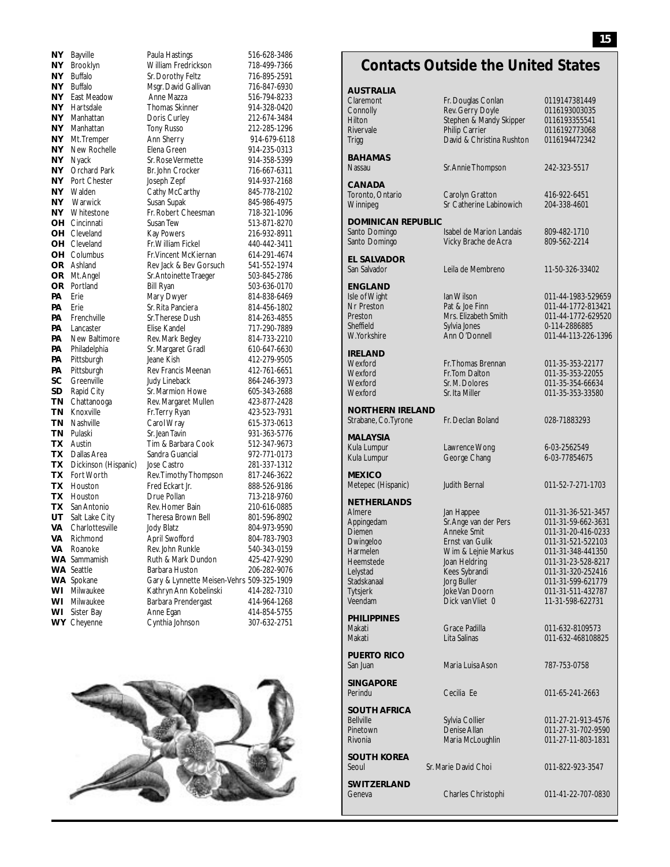**OH** Cleveland<br>**OH** Cleveland **OR** Mt. Angel Sr. Antoinette Traeger<br> **OR** Portland Bill Ryan **Pittsburgh TN** Chattanooga Rev. Margaret Mullen **UT** Salt Lake City Theresa Brown Bell **VA** Roanoke Rev. John Runkle<br> **VA** Sammamish Ruth & Mark Du

**NY** Bayville Paula Hastings 516-628-3486 **NY** Brooklyn **William Fredrickson** 718-499-7366<br>**NY** Buffalo **1988 Sr. Dorothy Feltz** 716-895-2591 **Sr. Dorothy Feltz NY** Buffalo Msgr. David Gallivan 716-847-6930 **NY** East Meadow **Anne Mazza** 516-794-8233<br> **NY** Hartsdale **Thomas Skinner** 914-328-0420 **Thomas Skinner NY** Manhattan **Doris Curley 212-674-3484**<br>**NY** Manhattan **Dory Russo** 212-285-1296 **NY** Manhattan **Tony Russo** 212-285-1296<br> **NY** Mt. Tremper Ann Sherry 914-679-6118 **NY** Mt. Tremper **Ann Sherry** 914-679-6118 **NY** New Rochelle **Elena Green** 914-235-0313 **NY** Nyack Sr. Rose Vermette 914-358-5399<br>**NY** Orchard Park Br. John Crocker 716-667-6311 **NY** Orchard Park Br. John Crocker 716-667-6311<br> **NY** Port Chester Joseph Zepf 914-937-2168 **NY** Port Chester **Joseph Zepf** 914-937-2168<br> **NY** Walden Cathy McCarthy 845-778-2102 Cathy McCarthy **NY** Warwick Susan Supak 845-986-4975 **NY** Whitestone Fr. Robert Cheesman 718-321-1096<br> **OH** Cincinnati Susan Tew 513-871-8270 **OH** Cincinnati Susan Tew 513-871-8270<br> **OH** Cleveland Kay Powers 216-932-8911 **Cleveland** Fr. William Fickel 440-442-3411<br>Columbus Fr. Vincent McKiernan 614-291-4674 OH Columbus Fr. Vincent McKiernan 614-291-4674 **OR** Ashland Rev Jack & Bev Gorsuch 541-552-1974<br>
Rev Jack & Bev Gorsuch 541-552-1974<br>
Rev Jack & Bev Gorsuch 503-845-2786 **OR** Portland Bill Ryan 503-636-0170 **PA** Erie **Mary Dwyer** 814-838-6469<br>**PA** Erie **S**r. Rita Panciera 814-456-1802 **PA** Erie Sr. Rita Panciera 814-456-1802<br> **PA** Frenchville Sr. Therese Dush 814-263-4855 **Sr. Therese Dush PA** Lancaster Elise Kandel 117-290-7889<br> **PA** New Baltimore Rev. Mark Begley 814-733-2210 **Rev. Mark Begley PA** Philadelphia Sr. Margaret Gradl 610-647-6630 **PA** Pittsburgh Rev Francis Meenan 412-761-6651 **SC** Greenville **Judy Lineback** 864-246-3973<br> **SD** Rapid City **Sr. Marmion Howe** 605-343-2688 **Sr. Marmion Howe 605-343-2688**<br>
Rev. Margaret Mullen 423-877-2428 **TN** Knoxville Fr. Terry Ryan 423-523-7931<br>
FN Nashville Carol Wray 615-373-0613 **TN** Nashville Carol Wray 615-373-0613<br> **TN** Pulaski Sr. Jean Tavin 931-363-5776 **TN** Pulaski Sr. Jean Tavin 931-363-5776 **Tim & Barbara Cook TX** Dallas Area Sandra Guancial 972-771-0173 **TX** Dickinson (Hispanic) Jose Castro 281-337-1312<br> **TX** Fort Worth Rev. Timothy Thompson 817-246-3622 **TX** Fort Worth Rev. Timothy Thompson 817-246-3622<br> **TX** Houston Fred Eckart Jr. 888-526-9186 Fred Eckart Jr. **TX** Houston **Drue Pollan 113-218-9760**<br> **TX** San Antonio Rev. Homer Bain 210-616-0885 **TX** San Antonio **TABO REV. Homer Bain** 210-616-0885<br> **Theresa Brown Bell** 201-596-8902 **VA** Charlottesville Jody Blatz 804-973-9590<br> **VA** Richmond **April Swofford** 804-783-7903 **VA** Richmond **April Swofford** 804-783-7903<br> **VA** Roanoke Rev. John Runkle 540-343-0159 Ruth & Mark Dundon 425-427-9290 **WA** Seattle Barbara Huston 206-282-9076 WA Spokane Gary & Lynnette Meisen-Vehrs 509-325-1909 **WI** Milwaukee **Kathryn Ann Kobelinski** 414-282-7310<br>**WI** Milwaukee Barbara Prendergast 414-964-1268 Barbara Prendergast **WI** Sister Bay **Anne Egan** 414-854-5755<br> **WY** Cheyenne Cynthia Johnson 307-632-2751 Cynthia Johnson 307-632-2751



### **Contacts Outside the United States**

| <b>AUSTRALIA</b><br>Claremont<br>Connolly<br>Hilton<br>Rivervale<br>Trigg                                                                    | Fr. Douglas Conlan<br>Rev. Gerry Doyle<br>Stephen & Mandy Skipper<br>Philip Carrier<br>David & Christina Rushton                                                                    | 0119147381449<br>0116193003035<br>0116193355541<br>0116192773068<br>0116194472342                                                                                                                                 |
|----------------------------------------------------------------------------------------------------------------------------------------------|-------------------------------------------------------------------------------------------------------------------------------------------------------------------------------------|-------------------------------------------------------------------------------------------------------------------------------------------------------------------------------------------------------------------|
| <b>BAHAMAS</b><br>Nassau                                                                                                                     | Sr. Annie Thompson                                                                                                                                                                  | 242-323-5517                                                                                                                                                                                                      |
| <b>CANADA</b><br>Toronto, Ontario<br>Winnipeg                                                                                                | Carolyn Gratton<br>Sr Catherine Labinowich                                                                                                                                          | 416-922-6451<br>204-338-4601                                                                                                                                                                                      |
| <b>DOMINICAN REPUBLIC</b><br>Santo Domingo<br>Santo Domingo                                                                                  | Isabel de Marion Landais<br>Vicky Brache de Acra                                                                                                                                    | 809-482-1710<br>809-562-2214                                                                                                                                                                                      |
| <b>EL SALVADOR</b><br>San Salvador                                                                                                           | Leila de Membreno                                                                                                                                                                   | 11-50-326-33402                                                                                                                                                                                                   |
| ENGLAND<br>Isle of Wight<br>Nr Preston<br>Preston<br>Sheffield<br><b>W.Yorkshire</b>                                                         | lan Wilson<br>Pat & Joe Finn<br>Mrs. Elizabeth Smith<br>Sylvia Jones<br>Ann O'Donnell                                                                                               | 011-44-1983-529659<br>011-44-1772-813421<br>011-44-1772-629520<br>0-114-2886885<br>011-44-113-226-1396                                                                                                            |
| IRELAND<br>Wexford<br>Wexford<br>Wexford<br>Wexford                                                                                          | Fr. Thomas Brennan<br>Fr. Tom Dalton<br>Sr. M. Dolores<br>Sr. Ita Miller                                                                                                            | 011-35-353-22177<br>011-35-353-22055<br>011-35-354-66634<br>011-35-353-33580                                                                                                                                      |
| <b>NORTHERN IRELAND</b><br>Strabane, Co. Tyrone                                                                                              | Fr. Declan Boland                                                                                                                                                                   | 028-71883293                                                                                                                                                                                                      |
| MALAYSIA<br>Kula Lumpur<br>Kula Lumpur                                                                                                       | Lawrence Wong<br>George Chang                                                                                                                                                       | 6-03-2562549<br>6-03-77854675                                                                                                                                                                                     |
| <b>MEXICO</b><br>Metepec (Hispanic)                                                                                                          | Judith Bernal                                                                                                                                                                       | 011-52-7-271-1703                                                                                                                                                                                                 |
| <b>NETHERLANDS</b><br>Almere<br>Appingedam<br>Diemen<br>Dwingeloo<br>Harmelen<br>Heemstede<br>Lelystad<br>Stadskanaal<br>Tytsjerk<br>Veendam | Jan Happee<br>Sr. Ange van der Pers<br>Anneke Smit<br>Ernst van Gulik<br>Wim & Lejnie Markus<br>Joan Heldring<br>Kees Sybrandi<br>Jorg Buller<br>Joke Van Doorn<br>Dick van Vliet 0 | 011-31-36-521-3457<br>011-31-59-662-3631<br>011-31-20-416-0233<br>011-31-521-522103<br>011-31-348-441350<br>011-31-23-528-8217<br>011-31-320-252416<br>011-31-599-621779<br>011-31-511-432787<br>11-31-598-622731 |
| <b>PHILIPPINES</b><br>Makati<br>Makati                                                                                                       | Grace Padilla<br>Lita Salinas                                                                                                                                                       | 011-632-8109573<br>011-632-468108825                                                                                                                                                                              |
| <b>PUERTO RICO</b><br>San Juan                                                                                                               | Maria Luisa Ason                                                                                                                                                                    | 787-753-0758                                                                                                                                                                                                      |
| <b>SINGAPORE</b><br>Perindu                                                                                                                  | Cecilia Ee                                                                                                                                                                          | 011-65-241-2663                                                                                                                                                                                                   |
| SOUTH AFRICA<br><b>Bellville</b><br>Pinetown<br>Rivonia                                                                                      | Sylvia Collier<br>Denise Allan<br>Maria McLoughlin                                                                                                                                  | 011-27-21-913-4576<br>011-27-31-702-9590<br>011-27-11-803-1831                                                                                                                                                    |
| <b>SOUTH KOREA</b><br>Seoul                                                                                                                  | Sr. Marie David Choi                                                                                                                                                                | 011-822-923-3547                                                                                                                                                                                                  |
| <b>SWITZERLAND</b><br>Geneva                                                                                                                 | Charles Christophi                                                                                                                                                                  | 011-41-22-707-0830                                                                                                                                                                                                |